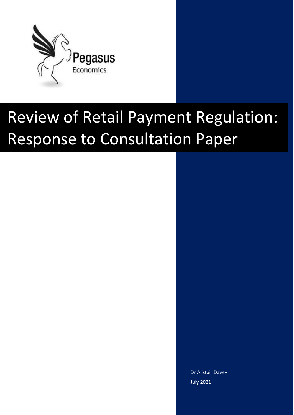

# Review of Retail Payment Regulation: Response to Consultation Paper

Dr Alistair Davey July 2021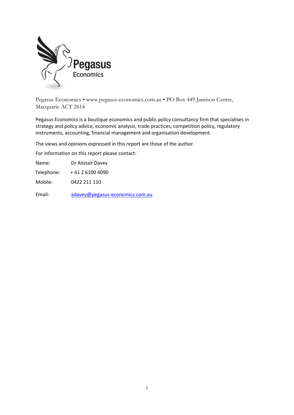

Pegasus Economics • www.pegasus-economics.com.au • PO Box 449 Jamison Centre, Macquarie ACT 2614

Pegasus Economics is a boutique economics and public policy consultancy firm that specialises in strategy and policy advice, economic analysis, trade practices, competition policy, regulatory instruments, accounting, financial management and organisation development.

The views and opinions expressed in this report are those of the author.

For information on this report please contact:

Name: Dr Alistair Davey

Telephone: + 61 2 6100 4090

Mobile: 0422 211 110

Email: [adavey@pegasus-economics.com.au](mailto:adavey@pegasus-economics.com.au)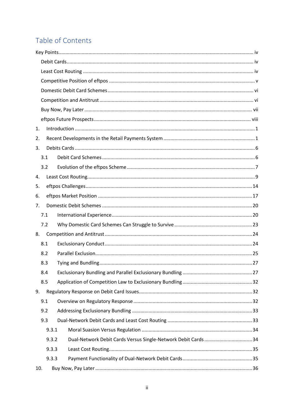# Table of Contents

| 1.  |       |                                                               |  |  |
|-----|-------|---------------------------------------------------------------|--|--|
| 2.  |       |                                                               |  |  |
| 3.  |       |                                                               |  |  |
|     | 3.1   |                                                               |  |  |
|     | 3.2   |                                                               |  |  |
| 4.  |       |                                                               |  |  |
| 5.  |       |                                                               |  |  |
| 6.  |       |                                                               |  |  |
| 7.  |       |                                                               |  |  |
|     | 7.1   |                                                               |  |  |
|     | 7.2   |                                                               |  |  |
| 8.  |       |                                                               |  |  |
|     | 8.1   |                                                               |  |  |
|     | 8.2   |                                                               |  |  |
|     | 8.3   |                                                               |  |  |
|     | 8.4   |                                                               |  |  |
|     | 8.5   |                                                               |  |  |
| 9.  |       |                                                               |  |  |
|     | 9.1   |                                                               |  |  |
|     | 9.2   |                                                               |  |  |
|     | 9.3   |                                                               |  |  |
|     | 9.3.1 |                                                               |  |  |
|     | 9.3.2 | Dual-Network Debit Cards Versus Single-Network Debit Cards 34 |  |  |
|     | 9.3.3 |                                                               |  |  |
|     | 9.3.3 |                                                               |  |  |
| 10. |       |                                                               |  |  |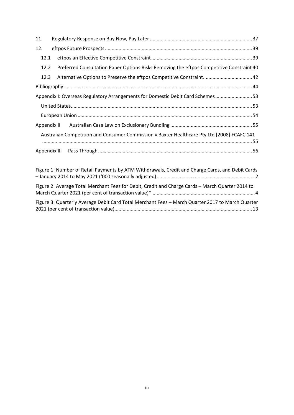| 11.                                                                            |                                                                                             |  |  |  |  |  |
|--------------------------------------------------------------------------------|---------------------------------------------------------------------------------------------|--|--|--|--|--|
| 12.                                                                            |                                                                                             |  |  |  |  |  |
| 12.1                                                                           |                                                                                             |  |  |  |  |  |
| 12.2                                                                           | Preferred Consultation Paper Options Risks Removing the eftpos Competitive Constraint 40    |  |  |  |  |  |
| 12.3                                                                           | Alternative Options to Preserve the eftpos Competitive Constraint 42                        |  |  |  |  |  |
|                                                                                |                                                                                             |  |  |  |  |  |
| Appendix I: Overseas Regulatory Arrangements for Domestic Debit Card Schemes53 |                                                                                             |  |  |  |  |  |
|                                                                                |                                                                                             |  |  |  |  |  |
|                                                                                |                                                                                             |  |  |  |  |  |
|                                                                                |                                                                                             |  |  |  |  |  |
|                                                                                | Australian Competition and Consumer Commission v Baxter Healthcare Pty Ltd [2008] FCAFC 141 |  |  |  |  |  |
|                                                                                |                                                                                             |  |  |  |  |  |
|                                                                                |                                                                                             |  |  |  |  |  |
|                                                                                |                                                                                             |  |  |  |  |  |

| Figure 1: Number of Retail Payments by ATM Withdrawals, Credit and Charge Cards, and Debit Cards |  |
|--------------------------------------------------------------------------------------------------|--|
| Figure 2: Average Total Merchant Fees for Debit, Credit and Charge Cards - March Quarter 2014 to |  |
| Figure 3: Quarterly Average Debit Card Total Merchant Fees - March Quarter 2017 to March Quarter |  |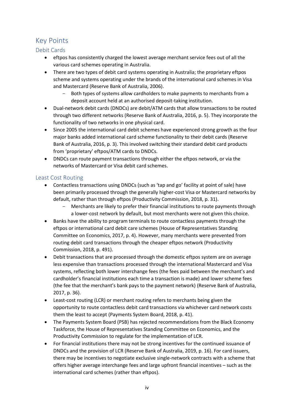## <span id="page-4-0"></span>Key Points

#### <span id="page-4-1"></span>Debit Cards

- eftpos has consistently charged the lowest average merchant service fees out of all the various card schemes operating in Australia.
- There are two types of debit card systems operating in Australia; the proprietary eftpos scheme and systems operating under the brands of the international card schemes in Visa and Mastercard (Reserve Bank of Australia, 2006).
	- Both types of systems allow cardholders to make payments to merchants from a deposit account held at an authorised deposit-taking institution.
- Dual-network debit cards (DNDCs) are debit/ATM cards that allow transactions to be routed through two different networks (Reserve Bank of Australia, 2016, p. 5). They incorporate the functionality of two networks in one physical card.
- Since 2005 the international card debit schemes have experienced strong growth as the four major banks added international card scheme functionality to their debit cards (Reserve Bank of Australia, 2016, p. 3). This involved switching their standard debit card products from 'proprietary' eftpos/ATM cards to DNDCs.
- DNDCs can route payment transactions through either the eftpos network, or via the networks of Mastercard or Visa debit card schemes.

#### <span id="page-4-2"></span>Least Cost Routing

- Contactless transactions using DNDCs (such as 'tap and go' facility at point of sale) have been primarily processed through the generally higher-cost Visa or Mastercard networks by default, rather than through eftpos (Productivity Commission, 2018, p. 31).
	- Merchants are likely to prefer their financial institutions to route payments through a lower-cost network by default, but most merchants were not given this choice.
- Banks have the ability to program terminals to route contactless payments through the eftpos or international card debit care schemes (House of Representatives Standing Committee on Economics, 2017, p. 4). However, many merchants were prevented from routing debit card transactions through the cheaper eftpos network (Productivity Commission, 2018, p. 491).
- Debit transactions that are processed through the domestic eftpos system are on average less expensive than transactions processed through the international Mastercard and Visa systems, reflecting both lower interchange fees (the fees paid between the merchant's and cardholder's financial institutions each time a transaction is made) and lower scheme fees (the fee that the merchant's bank pays to the payment network) (Reserve Bank of Australia, 2017, p. 36).
- Least-cost routing (LCR) or merchant routing refers to merchants being given the opportunity to route contactless debit card transactions via whichever card network costs them the least to accept (Payments System Board, 2018, p. 41).
- The Payments System Board (PSB) has rejected recommendations from the Black Economy Taskforce, the House of Representatives Standing Committee on Economics, and the Productivity Commission to regulate for the implementation of LCR.
- For financial institutions there may not be strong incentives for the continued issuance of DNDCs and the provision of LCR (Reserve Bank of Australia, 2019, p. 16). For card issuers, there may be incentives to negotiate exclusive single-network contracts with a scheme that offers higher average interchange fees and large upfront financial incentives – such as the international card schemes (rather than eftpos).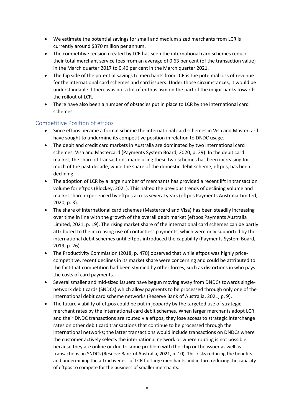- We estimate the potential savings for small and medium sized merchants from LCR is currently around \$370 million per annum.
- The competitive tension created by LCR has seen the international card schemes reduce their total merchant service fees from an average of 0.63 per cent (of the transaction value) in the March quarter 2017 to 0.46 per cent in the March quarter 2021.
- The flip side of the potential savings to merchants from LCR is the potential loss of revenue for the international card schemes and card issuers. Under those circumstances, it would be understandable if there was not a lot of enthusiasm on the part of the major banks towards the rollout of LCR.
- There have also been a number of obstacles put in place to LCR by the international card schemes.

#### <span id="page-5-0"></span>Competitive Position of eftpos

- Since eftpos became a formal scheme the international card schemes in Visa and Mastercard have sought to undermine its competitive position in relation to DNDC usage.
- The debit and credit card markets in Australia are dominated by two international card schemes, Visa and Mastercard (Payments System Board, 2020, p. 29). In the debit card market, the share of transactions made using these two schemes has been increasing for much of the past decade, while the share of the domestic debit scheme, eftpos, has been declining.
- The adoption of LCR by a large number of merchants has provided a recent lift in transaction volume for eftpos (Blockey, 2021). This halted the previous trends of declining volume and market share experienced by eftpos across several years (eftpos Payments Australia Limited, 2020, p. 3).
- The share of international card schemes (Mastercard and Visa) has been steadily increasing over time in line with the growth of the overall debit market (eftpos Payments Australia Limited, 2021, p. 19). The rising market share of the international card schemes can be partly attributed to the increasing use of contactless payments, which were only supported by the international debit schemes until eftpos introduced the capability (Payments System Board, 2019, p. 26).
- The Productivity Commission (2018, p. 470) observed that while eftpos was highly pricecompetitive, recent declines in its market share were concerning and could be attributed to the fact that competition had been stymied by other forces, such as distortions in who pays the costs of card payments.
- Several smaller and mid-sized issuers have begun moving away from DNDCs towards singlenetwork debit cards (SNDCs) which allow payments to be processed through only one of the international debit card scheme networks (Reserve Bank of Australia, 2021, p. 9).
- The future viability of eftpos could be put in jeopardy by the targeted use of strategic merchant rates by the international card debit schemes. When larger merchants adopt LCR and their DNDC transactions are routed via eftpos, they lose access to strategic interchange rates on other debit card transactions that continue to be processed through the international networks; the latter transactions would include transactions on DNDCs where the customer actively selects the international network or where routing is not possible because they are online or due to some problem with the chip or the issuer as well as transactions on SNDCs (Reserve Bank of Australia, 2021, p. 10). This risks reducing the benefits and undermining the attractiveness of LCR for large merchants and in turn reducing the capacity of eftpos to compete for the business of smaller merchants.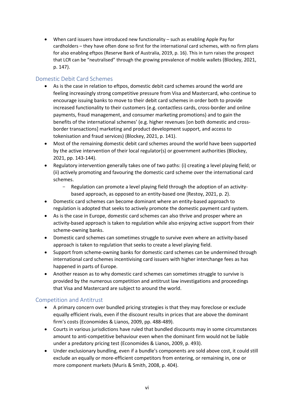• When card issuers have introduced new functionality – such as enabling Apple Pay for cardholders – they have often done so first for the international card schemes, with no firm plans for also enabling eftpos (Reserve Bank of Australia, 2019, p. 16). This in turn raises the prospect that LCR can be "neutralised" through the growing prevalence of mobile wallets (Blockey, 2021, p. 147).

#### <span id="page-6-0"></span>Domestic Debit Card Schemes

- As is the case in relation to eftpos, domestic debit card schemes around the world are feeling increasingly strong competitive pressure from Visa and Mastercard, who continue to encourage issuing banks to move to their debit card schemes in order both to provide increased functionality to their customers (e.g. contactless cards, cross-border and online payments, fraud management, and consumer marketing promotions) and to gain the benefits of the international schemes' (e.g. higher revenues [on both domestic and crossborder transactions] marketing and product development support, and access to tokenisation and fraud services) (Blockey, 2021, p. 141).
- Most of the remaining domestic debit card schemes around the world have been supported by the active intervention of their local regulator(s) or government authorities (Blockey, 2021, pp. 143-144).
- Regulatory intervention generally takes one of two paths: (i) creating a level playing field; or (ii) actively promoting and favouring the domestic card scheme over the international card schemes.
	- Regulation can promote a level playing field through the adoption of an activitybased approach, as opposed to an entity-based one (Restoy, 2021, p. 2).
- Domestic card schemes can become dominant where an entity-based approach to regulation is adopted that seeks to actively promote the domestic payment card system.
- As is the case in Europe, domestic card schemes can also thrive and prosper where an activity-based approach is taken to regulation while also enjoying active support from their scheme-owning banks.
- Domestic card schemes can sometimes struggle to survive even where an activity-based approach is taken to regulation that seeks to create a level playing field.
- Support from scheme-owning banks for domestic card schemes can be undermined through international card schemes incentivising card issuers with higher interchange fees as has happened in parts of Europe.
- Another reason as to why domestic card schemes can sometimes struggle to survive is provided by the numerous competition and antitrust law investigations and proceedings that Visa and Mastercard are subject to around the world.

#### <span id="page-6-1"></span>Competition and Antitrust

- A primary concern over bundled pricing strategies is that they may foreclose or exclude equally efficient rivals, even if the discount results in prices that are above the dominant firm's costs (Economides & Lianos, 2009, pp. 488-489).
- Courts in various jurisdictions have ruled that bundled discounts may in some circumstances amount to anti-competitive behaviour even when the dominant firm would not be liable under a predatory pricing test (Economides & Lianos, 2009, p. 493).
- Under exclusionary bundling, even if a bundle's components are sold above cost, it could still exclude an equally or more-efficient competitors from entering, or remaining in, one or more component markets (Muris & Smith, 2008, p. 404).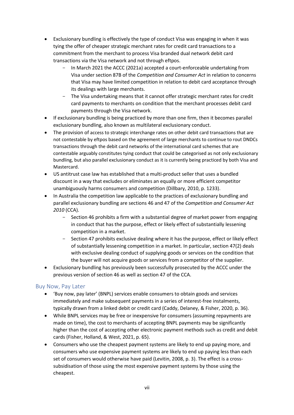- Exclusionary bundling is effectively the type of conduct Visa was engaging in when it was tying the offer of cheaper strategic merchant rates for credit card transactions to a commitment from the merchant to process Visa branded dual network debit card transactions via the Visa network and not through eftpos.
	- In March 2021 the ACCC (2021a) accepted a court-enforceable undertaking from Visa under section 87B of the *Competition and Consumer Act* in relation to concerns that Visa may have limited competition in relation to debit card acceptance through its dealings with large merchants.
	- The Visa undertaking means that it cannot offer strategic merchant rates for credit card payments to merchants on condition that the merchant processes debit card payments through the Visa network.
- If exclusionary bundling is being practiced by more than one firm, then it becomes parallel exclusionary bundling, also known as multilateral exclusionary conduct.
- The provision of access to strategic interchange rates on other debit card transactions that are not contestable by eftpos based on the agreement of large merchants to continue to rout DNDCs transactions through the debit card networks of the international card schemes that are contestable arguably constitutes tying conduct that could be categorised as not only exclusionary bundling, but also parallel exclusionary conduct as it is currently being practiced by both Visa and Mastercard.
- US antitrust case law has established that a multi-product seller that uses a bundled discount in a way that excludes or eliminates an equally or more efficient competitor unambiguously harms consumers and competition (Dillbary, 2010, p. 1233).
- In Australia the competition law applicable to the practices of exclusionary bundling and parallel exclusionary bundling are sections 46 and 47 of the *Competition and Consumer Act 2010* (CCA).
	- Section 46 prohibits a firm with a substantial degree of market power from engaging in conduct that has the purpose, effect or likely effect of substantially lessening competition in a market.
	- Section 47 prohibits exclusive dealing where it has the purpose, effect or likely effect of substantially lessening competition in a market. In particular, section 47(2) deals with exclusive dealing conduct of supplying goods or services on the condition that the buyer will not acquire goods or services from a competitor of the supplier.
- Exclusionary bundling has previously been successfully prosecuted by the ACCC under the previous version of section 46 as well as section 47 of the CCA.

#### <span id="page-7-0"></span>Buy Now, Pay Later

- 'Buy now, pay later' (BNPL) services enable consumers to obtain goods and services immediately and make subsequent payments in a series of interest-free instalments, typically drawn from a linked debit or credit card (Caddy, Delaney, & Fisher, 2020, p. 36).
- While BNPL services may be free or inexpensive for consumers (assuming repayments are made on time), the cost to merchants of accepting BNPL payments may be significantly higher than the cost of accepting other electronic payment methods such as credit and debit cards (Fisher, Holland, & West, 2021, p. 65).
- Consumers who use the cheapest payment systems are likely to end up paying more, and consumers who use expensive payment systems are likely to end up paying less than each set of consumers would otherwise have paid (Levitin, 2008, p. 3). The effect is a crosssubsidisation of those using the most expensive payment systems by those using the cheapest.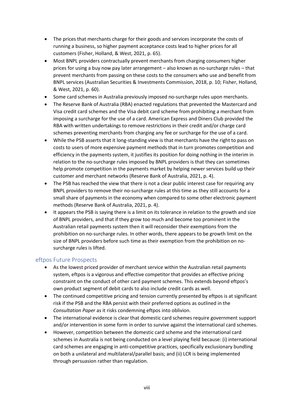- The prices that merchants charge for their goods and services incorporate the costs of running a business, so higher payment acceptance costs lead to higher prices for all customers (Fisher, Holland, & West, 2021, p. 65).
- Most BNPL providers contractually prevent merchants from charging consumers higher prices for using a buy now pay later arrangement – also known as no-surcharge rules – that prevent merchants from passing on these costs to the consumers who use and benefit from BNPL services (Australian Securities & Investments Commission, 2018, p. 10; Fisher, Holland, & West, 2021, p. 60).
- Some card schemes in Australia previously imposed no-surcharge rules upon merchants.
- The Reserve Bank of Australia (RBA) enacted regulations that prevented the Mastercard and Visa credit card schemes and the Visa debit card scheme from prohibiting a merchant from imposing a surcharge for the use of a card. American Express and Diners Club provided the RBA with written undertakings to remove restrictions in their credit and/or charge card schemes preventing merchants from charging any fee or surcharge for the use of a card.
- While the PSB asserts that it long-standing view is that merchants have the right to pass on costs to users of more expensive payment methods that in turn promotes competition and efficiency in the payments system, it justifies its position for doing nothing in the interim in relation to the no-surcharge rules imposed by BNPL providers is that they can sometimes help promote competition in the payments market by helping newer services build up their customer and merchant networks (Reserve Bank of Australia, 2021, p. 4).
- The PSB has reached the view that there is not a clear public interest case for requiring any BNPL providers to remove their no-surcharge rules at this time as they still accounts for a small share of payments in the economy when compared to some other electronic payment methods (Reserve Bank of Australia, 2021, p. 4).
- It appears the PSB is saying there is a limit on its tolerance in relation to the growth and size of BNPL providers, and that if they grow too much and become too prominent in the Australian retail payments system then it will reconsider their exemptions from the prohibition on no-surcharge rules. In other words, there appears to be growth limit on the size of BNPL providers before such time as their exemption from the prohibition on nosurcharge rules is lifted.

#### <span id="page-8-0"></span>eftpos Future Prospects

- As the lowest priced provider of merchant service within the Australian retail payments system, eftpos is a vigorous and effective competitor that provides an effective pricing constraint on the conduct of other card payment schemes. This extends beyond eftpos's own product segment of debit cards to also include credit cards as well.
- The continued competitive pricing and tension currently presented by eftpos is at significant risk if the PSB and the RBA persist with their preferred options as outlined in the *Consultation Paper* as it risks condemning eftpos into oblivion.
- The international evidence is clear that domestic card schemes require government support and/or intervention in some form in order to survive against the international card schemes.
- However, competition between the domestic card scheme and the international card schemes in Australia is not being conducted on a level playing field because: (i) international card schemes are engaging in anti-competitive practices, specifically exclusionary bundling on both a unilateral and multilateral/parallel basis; and (ii) LCR is being implemented through persuasion rather than regulation.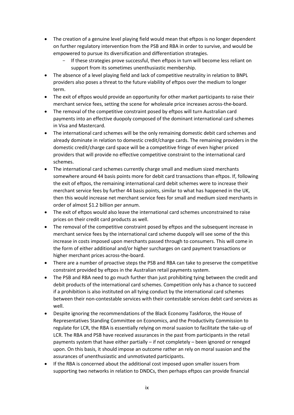- The creation of a genuine level playing field would mean that eftpos is no longer dependent on further regulatory intervention from the PSB and RBA in order to survive, and would be empowered to pursue its diversification and differentiation strategies.
	- If these strategies prove successful, then eftpos in turn will become less reliant on support from its sometimes unenthusiastic membership.
- The absence of a level playing field and lack of competitive neutrality in relation to BNPL providers also poses a threat to the future viability of eftpos over the medium to longer term.
- The exit of eftpos would provide an opportunity for other market participants to raise their merchant service fees, setting the scene for wholesale price increases across-the-board.
- The removal of the competitive constraint posed by eftpos will turn Australian card payments into an effective duopoly composed of the dominant international card schemes in Visa and Mastercard.
- The international card schemes will be the only remaining domestic debit card schemes and already dominate in relation to domestic credit/charge cards. The remaining providers in the domestic credit/charge card space will be a competitive fringe of even higher priced providers that will provide no effective competitive constraint to the international card schemes.
- The international card schemes currently charge small and medium sized merchants somewhere around 44 basis points more for debit card transactions than eftpos. If, following the exit of eftpos, the remaining international card debit schemes were to increase their merchant service fees by further 44 basis points, similar to what has happened in the UK, then this would increase net merchant service fees for small and medium sized merchants in order of almost \$1.2 billion per annum.
- The exit of eftpos would also leave the international card schemes unconstrained to raise prices on their credit card products as well.
- The removal of the competitive constraint posed by eftpos and the subsequent increase in merchant service fees by the international card scheme duopoly will see some of the this increase in costs imposed upon merchants passed through to consumers. This will come in the form of either additional and/or higher surcharges on card payment transactions or higher merchant prices across-the-board.
- There are a number of proactive steps the PSB and RBA can take to preserve the competitive constraint provided by eftpos in the Australian retail payments system.
- The PSB and RBA need to go much further than just prohibiting tying between the credit and debit products of the international card schemes. Competition only has a chance to succeed if a prohibition is also instituted on all tying conduct by the international card schemes between their non-contestable services with their contestable services debit card services as well.
- Despite ignoring the recommendations of the Black Economy Taskforce, the House of Representatives Standing Committee on Economics, and the Productivity Commission to regulate for LCR, the RBA is essentially relying on moral suasion to facilitate the take-up of LCR. The RBA and PSB have received assurances in the past from participants in the retail payments system that have either partially – if not completely – been ignored or reneged upon. On this basis, it should impose an outcome rather an rely on moral suasion and the assurances of unenthusiastic and unmotivated participants.
- If the RBA is concerned about the additional cost imposed upon smaller issuers from supporting two networks in relation to DNDCs, then perhaps eftpos can provide financial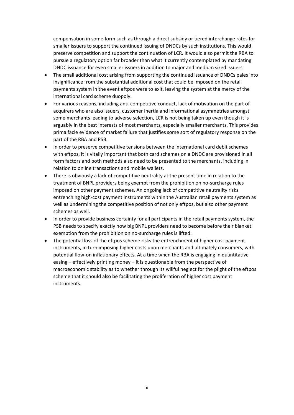compensation in some form such as through a direct subsidy or tiered interchange rates for smaller issuers to support the continued issuing of DNDCs by such institutions. This would preserve competition and support the continuation of LCR. It would also permit the RBA to pursue a regulatory option far broader than what it currently contemplated by mandating DNDC issuance for even smaller issuers in addition to major and medium sized issuers.

- The small additional cost arising from supporting the continued issuance of DNDCs pales into insignificance from the substantial additional cost that could be imposed on the retail payments system in the event eftpos were to exit, leaving the system at the mercy of the international card scheme duopoly.
- For various reasons, including anti-competitive conduct, lack of motivation on the part of acquirers who are also issuers, customer inertia and informational asymmetries amongst some merchants leading to adverse selection, LCR is not being taken up even though it is arguably in the best interests of most merchants, especially smaller merchants. This provides prima facie evidence of market failure that justifies some sort of regulatory response on the part of the RBA and PSB.
- In order to preserve competitive tensions between the international card debit schemes with eftpos, it is vitally important that both card schemes on a DNDC are provisioned in all form factors and both methods also need to be presented to the merchants, including in relation to online transactions and mobile wallets.
- There is obviously a lack of competitive neutrality at the present time in relation to the treatment of BNPL providers being exempt from the prohibition on no-surcharge rules imposed on other payment schemes. An ongoing lack of competitive neutrality risks entrenching high-cost payment instruments within the Australian retail payments system as well as undermining the competitive position of not only eftpos, but also other payment schemes as well.
- In order to provide business certainty for all participants in the retail payments system, the PSB needs to specify exactly how big BNPL providers need to become before their blanket exemption from the prohibition on no-surcharge rules is lifted.
- The potential loss of the eftpos scheme risks the entrenchment of higher cost payment instruments, in turn imposing higher costs upon merchants and ultimately consumers, with potential flow-on inflationary effects. At a time when the RBA is engaging in quantitative easing – effectively printing money – it is questionable from the perspective of macroeconomic stability as to whether through its willful neglect for the plight of the eftpos scheme that it should also be facilitating the proliferation of higher cost payment instruments.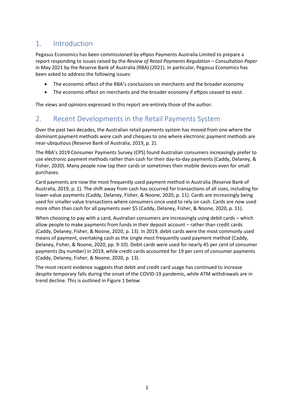## <span id="page-11-0"></span>1. Introduction

Pegasus Economics has been commissioned by eftpos Payments Australia Limited to prepare a report responding to issues raised by the *Review of Retail Payments Regulation – Consultation Paper* in May 2021 by the Reserve Bank of Australia (RBA) (2021). In particular, Pegasus Economics has been asked to address the following issues:

- The economic effect of the RBA's conclusions on merchants and the broader economy
- The economic effect on merchants and the broader economy if eftpos ceased to exist.

The views and opinions expressed in this report are entirely those of the author.

## <span id="page-11-1"></span>2. Recent Developments in the Retail Payments System

Over the past two decades, the Australian retail payments system has moved from one where the dominant payment methods were cash and cheques to one where electronic payment methods are near-ubiquitous (Reserve Bank of Australia, 2019, p. 2).

The RBA's 2019 Consumer Payments Survey (CPS) found Australian consumers increasingly prefer to use electronic payment methods rather than cash for their day-to-day payments (Caddy, Delaney, & Fisher, 2020). Many people now tap their cards or sometimes their mobile devices even for small purchases.

Card payments are now the most frequently used payment method in Australia (Reserve Bank of Australia, 2019, p. 1). The shift away from cash has occurred for transactions of all sizes, including for lower-value payments (Caddy, Delaney, Fisher, & Noone, 2020, p. 11). Cards are increasingly being used for smaller value transactions where consumers once used to rely on cash. Cards are now used more often than cash for all payments over \$5 (Caddy, Delaney, Fisher, & Noone, 2020, p. 11).

When choosing to pay with a card, Australian consumers are increasingly using debit cards – which allow people to make payments from funds in their deposit account – rather than credit cards (Caddy, Delaney, Fisher, & Noone, 2020, p. 13). In 2019, debit cards were the most commonly used means of payment, overtaking cash as the single most frequently used payment method (Caddy, Delaney, Fisher, & Noone, 2020, pp. 9-10). Debit cards were used for nearly 45 per cent of consumer payments (by number) in 2019, while credit cards accounted for 19 per cent of consumer payments (Caddy, Delaney, Fisher, & Noone, 2020, p. 13).

The most recent evidence suggests that debit and credit card usage has continued to increase despite temporary falls during the onset of the COVID-19 pandemic, while ATM withdrawals are in trend decline. This is outlined in Figure 1 below.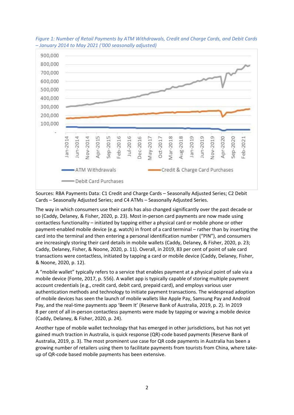

<span id="page-12-0"></span>*Figure 1: Number of Retail Payments by ATM Withdrawals, Credit and Charge Cards, and Debit Cards – January 2014 to May 2021 ('000 seasonally adjusted)*

Sources: RBA Payments Data: C1 Credit and Charge Cards – Seasonally Adjusted Series; C2 Debit Cards – Seasonally Adjusted Series; and C4 ATMs – Seasonally Adjusted Series.

The way in which consumers use their cards has also changed significantly over the past decade or so (Caddy, Delaney, & Fisher, 2020, p. 23). Most in-person card payments are now made using contactless functionality – initiated by tapping either a physical card or mobile phone or other payment-enabled mobile device (e.g. watch) in front of a card terminal – rather than by inserting the card into the terminal and then entering a personal identification number ("PIN"), and consumers are increasingly storing their card details in mobile wallets (Caddy, Delaney, & Fisher, 2020, p. 23; Caddy, Delaney, Fisher, & Noone, 2020, p. 11). Overall, in 2019, 83 per cent of point of sale card transactions were contactless, initiated by tapping a card or mobile device (Caddy, Delaney, Fisher, & Noone, 2020, p. 12).

A "mobile wallet" typically refers to a service that enables payment at a physical point of sale via a mobile device (Fonte, 2017, p. 556). A wallet app is typically capable of storing multiple payment account credentials (e.g., credit card, debit card, prepaid card), and employs various user authentication methods and technology to initiate payment transactions. The widespread adoption of mobile devices has seen the launch of mobile wallets like Apple Pay, Samsung Pay and Android Pay, and the real-time payments app 'Beem It' (Reserve Bank of Australia, 2019, p. 2). In 2019 8 per cent of all in-person contactless payments were made by tapping or waving a mobile device (Caddy, Delaney, & Fisher, 2020, p. 24).

Another type of mobile wallet technology that has emerged in other jurisdictions, but has not yet gained much traction in Australia, is quick response (QR)-code based payments (Reserve Bank of Australia, 2019, p. 3). The most prominent use case for QR code payments in Australia has been a growing number of retailers using them to facilitate payments from tourists from China, where takeup of QR-code based mobile payments has been extensive.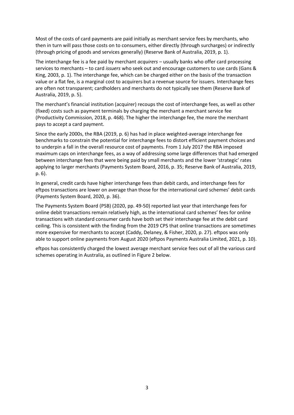Most of the costs of card payments are paid initially as merchant service fees by merchants, who then in turn will pass those costs on to consumers, either directly (through surcharges) or indirectly (through pricing of goods and services generally) (Reserve Bank of Australia, 2019, p. 1).

The interchange fee is a fee paid by merchant *acquirers* – usually banks who offer card processing services to merchants – to card *issuers* who seek out and encourage customers to use cards (Gans & King, 2003, p. 1). The interchange fee, which can be charged either on the basis of the transaction value or a flat fee, is a marginal cost to acquirers but a revenue source for issuers. Interchange fees are often not transparent; cardholders and merchants do not typically see them (Reserve Bank of Australia, 2019, p. 5).

The merchant's financial institution (acquirer) recoups the cost of interchange fees, as well as other (fixed) costs such as payment terminals by charging the merchant a merchant service fee (Productivity Commission, 2018, p. 468). The higher the interchange fee, the more the merchant pays to accept a card payment.

Since the early 2000s, the RBA (2019, p. 6) has had in place weighted-average interchange fee benchmarks to constrain the potential for interchange fees to distort efficient payment choices and to underpin a fall in the overall resource cost of payments. From 1 July 2017 the RBA imposed maximum caps on interchange fees, as a way of addressing some large differences that had emerged between interchange fees that were being paid by small merchants and the lower 'strategic' rates applying to larger merchants (Payments System Board, 2016, p. 35; Reserve Bank of Australia, 2019, p. 6).

In general, credit cards have higher interchange fees than debit cards, and interchange fees for eftpos transactions are lower on average than those for the international card schemes' debit cards (Payments System Board, 2020, p. 36).

The Payments System Board (PSB) (2020, pp. 49-50) reported last year that interchange fees for online debit transactions remain relatively high, as the international card schemes' fees for online transactions with standard consumer cards have both set their interchange fee at the debit card ceiling. This is consistent with the finding from the 2019 CPS that online transactions are sometimes more expensive for merchants to accept (Caddy, Delaney, & Fisher, 2020, p. 27). eftpos was only able to support online payments from August 2020 (eftpos Payments Australia Limited, 2021, p. 10).

eftpos has consistently charged the lowest average merchant service fees out of all the various card schemes operating in Australia, as outlined in Figure 2 below.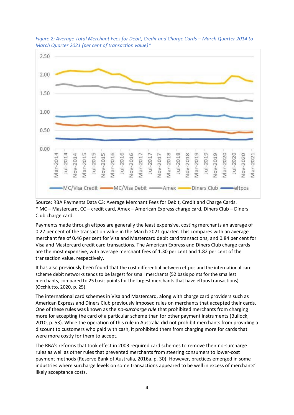

<span id="page-14-0"></span>*Figure 2: Average Total Merchant Fees for Debit, Credit and Charge Cards – March Quarter 2014 to March Quarter 2021 (per cent of transaction value)\**

Source: RBA Payments Dat[a C3: Average Merchant Fees for Debit, Credit and Charge Cards.](https://www.rba.gov.au/statistics/tables/xls/c03hist.xlsx) \* MC – Mastercard, CC – credit card, Amex – American Express charge card, Diners Club – Diners Club charge card.

Payments made through eftpos are generally the least expensive, costing merchants an average of 0.27 per cent of the transaction value in the March 2021 quarter. This compares with an average merchant fee of 0.46 per cent for Visa and Mastercard debit card transactions, and 0.84 per cent for Visa and Mastercard credit card transactions. The American Express and Diners Club charge cards are the most expensive, with average merchant fees of 1.30 per cent and 1.82 per cent of the transaction value, respectively.

It has also previously been found that the cost differential between eftpos and the international card scheme debit networks tends to be largest for small merchants (52 basis points for the smallest merchants, compared to 25 basis points for the largest merchants that have eftpos transactions) (Occhiutto, 2020, p. 25).

The international card schemes in Visa and Mastercard, along with charge card providers such as American Express and Diners Club previously imposed rules on merchants that accepted their cards. One of these rules was known as the *no-surcharge rule* that prohibited merchants from charging more for accepting the card of a particular scheme than for other payment instruments (Bullock, 2010, p. 53). While the operation of this rule in Australia did not prohibit merchants from providing a discount to customers who paid with cash, it prohibited them from charging more for cards that were more costly for them to accept.

The RBA's reforms that took effect in 2003 required card schemes to remove their no-surcharge rules as well as other rules that prevented merchants from steering consumers to lower-cost payment methods (Reserve Bank of Australia, 2016a, p. 30). However, practices emerged in some industries where surcharge levels on some transactions appeared to be well in excess of merchants' likely acceptance costs.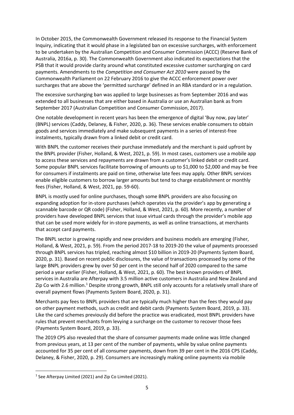In October 2015, the Commonwealth Government released its response to the Financial System Inquiry, indicating that it would phase in a legislated ban on excessive surcharges, with enforcement to be undertaken by the Australian Competition and Consumer Commission (ACCC) (Reserve Bank of Australia, 2016a, p. 30). The Commonwealth Government also indicated its expectations that the PSB that it would provide clarity around what constituted excessive customer surcharging on card payments. Amendments to the *Competition and Consumer Act 2010* were passed by the Commonwealth Parliament on 22 February 2016 to give the ACCC enforcement power over surcharges that are above the 'permitted surcharge' defined in an RBA standard or in a regulation.

The excessive surcharging ban was applied to large businesses as from September 2016 and was extended to all businesses that are either based in Australia or use an Australian bank as from September 2017 (Australian Competition and Consumer Commission, 2017).

One notable development in recent years has been the emergence of digital 'Buy now, pay later' (BNPL) services (Caddy, Delaney, & Fisher, 2020, p. 36). These services enable consumers to obtain goods and services immediately and make subsequent payments in a series of interest-free instalments, typically drawn from a linked debit or credit card.

With BNPL the customer receives their purchase immediately and the merchant is paid upfront by the BNPL provider (Fisher, Holland, & West, 2021, p. 59). In most cases, customers use a mobile app to access these services and repayments are drawn from a customer's linked debit or credit card. Some popular BNPL services facilitate borrowing of amounts up to \$1,000 to \$2,000 and may be free for consumers if instalments are paid on time, otherwise late fees may apply. Other BNPL services enable eligible customers to borrow larger amounts but tend to charge establishment or monthly fees (Fisher, Holland, & West, 2021, pp. 59-60).

BNPL is mostly used for online purchases, though some BNPL providers are also focusing on expanding adoption for in-store purchases (which operates via the provider's app by generating a scannable barcode or QR code) (Fisher, Holland, & West, 2021, p. 60). More recently, a number of providers have developed BNPL services that issue virtual cards through the provider's mobile app that can be used more widely for in-store payments, as well as online transactions, at merchants that accept card payments.

The BNPL sector is growing rapidly and new providers and business models are emerging (Fisher, Holland, & West, 2021, p. 59). From the period 2017-18 to 2019-20 the value of payments processed through BNPL services has tripled, reaching almost \$10 billion in 2019-20 (Payments System Board, 2020, p. 31). Based on recent public disclosures, the value of transactions processed by some of the large BNPL providers grew by over 50 per cent in the second half of 2020 compared to the same period a year earlier (Fisher, Holland, & West, 2021, p. 60). The best known providers of BNPL services in Australia are Afterpay with 3.5 million active customers in Australia and New Zealand and Zip Co with 2.6 million.<sup>1</sup> Despite strong growth, BNPL still only accounts for a relatively small share of overall payment flows (Payments System Board, 2020, p. 31).

Merchants pay fees to BNPL providers that are typically much higher than the fees they would pay on other payment methods, such as credit and debit cards (Payments System Board, 2019, p. 33). Like the card schemes previously did before the practice was eradicated, most BNPL providers have rules that prevent merchants from levying a surcharge on the customer to recover those fees (Payments System Board, 2019, p. 33).

The 2019 CPS also revealed that the share of consumer payments made online was little changed from previous years, at 13 per cent of the number of payments, while by value online payments accounted for 35 per cent of all consumer payments, down from 39 per cent in the 2016 CPS (Caddy, Delaney, & Fisher, 2020, p. 29). Consumers are increasingly making online payments via mobile

<sup>&</sup>lt;sup>1</sup> See Afterpay Limited (2021) and Zip Co Limited (2021).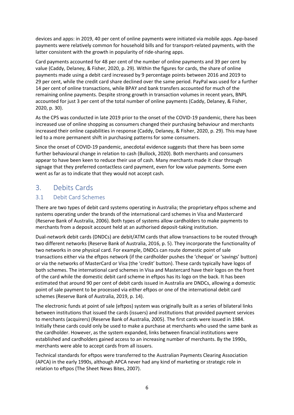devices and apps: in 2019, 40 per cent of online payments were initiated via mobile apps. App-based payments were relatively common for household bills and for transport-related payments, with the latter consistent with the growth in popularity of ride-sharing apps.

Card payments accounted for 48 per cent of the number of online payments and 39 per cent by value (Caddy, Delaney, & Fisher, 2020, p. 29). Within the figures for cards, the share of online payments made using a debit card increased by 9 percentage points between 2016 and 2019 to 29 per cent, while the credit card share declined over the same period. PayPal was used for a further 14 per cent of online transactions, while BPAY and bank transfers accounted for much of the remaining online payments. Despite strong growth in transaction volumes in recent years, BNPL accounted for just 3 per cent of the total number of online payments (Caddy, Delaney, & Fisher, 2020, p. 30).

As the CPS was conducted in late 2019 prior to the onset of the COVID-19 pandemic, there has been increased use of online shopping as consumers changed their purchasing behaviour and merchants increased their online capabilities in response (Caddy, Delaney, & Fisher, 2020, p. 29). This may have led to a more permanent shift in purchasing patterns for some consumers.

Since the onset of COVID-19 pandemic, anecdotal evidence suggests that there has been some further behavioural change in relation to cash (Bullock, 2020). Both merchants and consumers appear to have been keen to reduce their use of cash. Many merchants made it clear through signage that they preferred contactless card payment, even for low value payments. Some even went as far as to indicate that they would not accept cash.

## <span id="page-16-0"></span>3. Debits Cards

#### <span id="page-16-1"></span>3.1 Debit Card Schemes

There are two types of debit card systems operating in Australia; the proprietary eftpos scheme and systems operating under the brands of the international card schemes in Visa and Mastercard (Reserve Bank of Australia, 2006). Both types of systems allow cardholders to make payments to merchants from a deposit account held at an authorised deposit-taking institution.

Dual-network debit cards (DNDCs) are debit/ATM cards that allow transactions to be routed through two different networks (Reserve Bank of Australia, 2016, p. 5). They incorporate the functionality of two networks in one physical card. For example, DNDCs can route domestic point of sale transactions either via the eftpos network (if the cardholder pushes the 'cheque' or 'savings' button) or via the networks of MasterCard or Visa (the 'credit' button). These cards typically have logos of both schemes. The international card schemes in Visa and Mastercard have their logos on the front of the card while the domestic debit card scheme in eftpos has its logo on the back. It has been estimated that around 90 per cent of debit cards issued in Australia are DNDCs, allowing a domestic point of sale payment to be processed via either eftpos or one of the international debit card schemes (Reserve Bank of Australia, 2019, p. 14).

The electronic funds at point of sale (eftpos) system was originally built as a series of bilateral links between institutions that issued the cards (issuers) and institutions that provided payment services to merchants (acquirers) (Reserve Bank of Australia, 2005). The first cards were issued in 1984. Initially these cards could only be used to make a purchase at merchants who used the same bank as the cardholder. However, as the system expanded, links between financial institutions were established and cardholders gained access to an increasing number of merchants. By the 1990s, merchants were able to accept cards from all issuers.

Technical standards for eftpos were transferred to the Australian Payments Clearing Association (APCA) in the early 1990s, although APCA never had any kind of marketing or strategic role in relation to eftpos (The Sheet News Bites, 2007).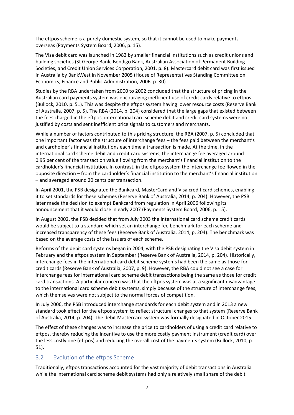The eftpos scheme is a purely domestic system, so that it cannot be used to make payments overseas (Payments System Board, 2006, p. 15).

The Visa debit card was launched in 1982 by smaller financial institutions such as credit unions and building societies (St George Bank, Bendigo Bank, Australian Association of Permanent Building Societies, and Credit Union Services Corporation, 2001, p. 8). Mastercard debit card was first issued in Australia by BankWest in November 2005 (House of Representatives Standing Committee on Economics, Finance and Public Administration, 2006, p. 30).

Studies by the RBA undertaken from 2000 to 2002 concluded that the structure of pricing in the Australian card payments system was encouraging inefficient use of credit cards relative to eftpos (Bullock, 2010, p. 51). This was despite the eftpos system having lower resource costs (Reserve Bank of Australia, 2007, p. 5). The RBA (2014, p. 204) considered that the large gaps that existed between the fees charged in the eftpos, international card scheme debit and credit card systems were not justified by costs and sent inefficient price signals to customers and merchants.

While a number of factors contributed to this pricing structure, the RBA (2007, p. 5) concluded that one important factor was the structure of interchange fees – the fees paid between the merchant's and cardholder's financial institutions each time a transaction is made. At the time, in the international card scheme debit and credit card systems, the interchange fee averaged around 0.95 per cent of the transaction value flowing from the merchant's financial institution to the cardholder's financial institution. In contrast, in the eftpos system the interchange fee flowed in the opposite direction – from the cardholder's financial institution to the merchant's financial institution – and averaged around 20 cents per transaction.

In April 2001, the PSB designated the Bankcard, MasterCard and Visa credit card schemes, enabling it to set standards for these schemes (Reserve Bank of Australia, 2014, p. 204). However, the PSB later made the decision to exempt Bankcard from regulation in April 2006 following its announcement that it would close in early 2007 (Payments System Board, 2006, p. 15).

In August 2002, the PSB decided that from July 2003 the international card scheme credit cards would be subject to a standard which set an interchange fee benchmark for each scheme and increased transparency of these fees (Reserve Bank of Australia, 2014, p. 204). The benchmark was based on the average costs of the issuers of each scheme.

Reforms of the debit card systems began in 2004, with the PSB designating the Visa debit system in February and the eftpos system in September (Reserve Bank of Australia, 2014, p. 204). Historically, interchange fees in the international card debit scheme systems had been the same as those for credit cards (Reserve Bank of Australia, 2007, p. 9). However, the RBA could not see a case for interchange fees for international card scheme debit transactions being the same as those for credit card transactions. A particular concern was that the eftpos system was at a significant disadvantage to the international card scheme debit systems, simply because of the structure of interchange fees, which themselves were not subject to the normal forces of competition.

In July 2006, the PSB introduced interchange standards for each debit system and in 2013 a new standard took effect for the eftpos system to reflect structural changes to that system (Reserve Bank of Australia, 2014, p. 204). The debit Mastercard system was formally designated in October 2015.

The effect of these changes was to increase the price to cardholders of using a credit card relative to eftpos, thereby reducing the incentive to use the more costly payment instrument (credit card) over the less costly one (eftpos) and reducing the overall cost of the payments system (Bullock, 2010, p. 51).

#### <span id="page-17-0"></span>3.2 Evolution of the eftpos Scheme

Traditionally, eftpos transactions accounted for the vast majority of debit transactions in Australia while the international card scheme debit systems had only a relatively small share of the debit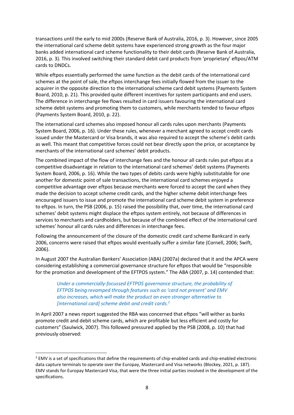transactions until the early to mid 2000s (Reserve Bank of Australia, 2016, p. 3). However, since 2005 the international card scheme debit systems have experienced strong growth as the four major banks added international card scheme functionality to their debit cards (Reserve Bank of Australia, 2016, p. 3). This involved switching their standard debit card products from 'proprietary' eftpos/ATM cards to DNDCs.

While eftpos essentially performed the same function as the debit cards of the international card schemes at the point of sale, the eftpos interchange fees initially flowed from the issuer to the acquirer in the opposite direction to the international scheme card debit systems (Payments System Board, 2010, p. 21). This provided quite different incentives for system participants and end users. The difference in interchange fee flows resulted in card issuers favouring the international card scheme debit systems and promoting them to customers, while merchants tended to favour eftpos (Payments System Board, 2010, p. 22).

The international card schemes also imposed honour all cards rules upon merchants (Payments System Board, 2006, p. 16). Under these rules, whenever a merchant agreed to accept credit cards issued under the Mastercard or Visa brands, it was also required to accept the scheme's debit cards as well. This meant that competitive forces could not bear directly upon the price, or acceptance by merchants of the international card schemes' debit products.

The combined impact of the flow of interchange fees and the honour all cards rules put eftpos at a competitive disadvantage in relation to the international card schemes' debit systems (Payments System Board, 2006, p. 16). While the two types of debits cards were highly substitutable for one another for domestic point of sale transactions, the international card schemes enjoyed a competitive advantage over eftpos because merchants were forced to accept the card when they made the decision to accept scheme credit cards, and the higher scheme debit interchange fees encouraged issuers to issue and promote the international card scheme debit system in preference to eftpos. In turn, the PSB (2006, p. 15) raised the possibility that, over time, the international card schemes' debit systems might displace the eftpos system entirely, not because of differences in services to merchants and cardholders, but because of the combined effect of the international card schemes' honour all cards rules and differences in interchange fees.

Following the announcement of the closure of the domestic credit card scheme Bankcard in early 2006, concerns were raised that eftpos would eventually suffer a similar fate (Cornell, 2006; Swift, 2006).

In August 2007 the Australian Bankers' Association (ABA) (2007a) declared that it and the APCA were considering establishing a commercial governance structure for eftpos that would be "responsible for the promotion and development of the EFTPOS system." The ABA (2007, p. 14) contended that:

*Under a commercially-focussed EFTPOS governance structure, the probability of EFTPOS being revamped through features such as 'card not present' and EMV also increases, which will make the product an even stronger alternative to [international card] scheme debit and credit cards.<sup>2</sup>*

In April 2007 a news report suggested the RBA was concerned that eftpos "will wither as banks promote credit and debit scheme cards, which are profitable but less efficient and costly for customers" (Saulwick, 2007). This followed pressured applied by the PSB (2008, p. 10) that had previously observed:

<sup>&</sup>lt;sup>2</sup> EMV is a set of specifications that define the requirements of chip-enabled cards and chip-enabled electronic data capture terminals to operate over the Europay, Mastercard and Visa networks (Blockey, 2021, p. 187). EMV stands for Europay Mastercard Visa, that were the three initial parties involved in the development of the specifications.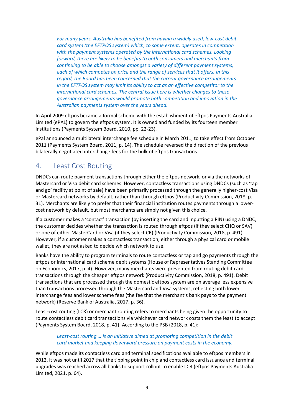*For many years, Australia has benefited from having a widely used, low-cost debit card system (the EFTPOS system) which, to some extent, operates in competition with the payment systems operated by the international card schemes. Looking forward, there are likely to be benefits to both consumers and merchants from continuing to be able to choose amongst a variety of different payment systems, each of which competes on price and the range of services that it offers. In this regard, the Board has been concerned that the current governance arrangements in the EFTPOS system may limit its ability to act as an effective competitor to the international card schemes. The central issue here is whether changes to these governance arrangements would promote both competition and innovation in the Australian payments system over the years ahead.*

In April 2009 eftpos became a formal scheme with the establishment of eftpos Payments Australia Limited (ePAL) to govern the eftpos system. It is owned and funded by its fourteen member institutions (Payments System Board, 2010, pp. 22-23).

ePal announced a multilateral interchange fee schedule in March 2011, to take effect from October 2011 (Payments System Board, 2011, p. 14). The schedule reversed the direction of the previous bilaterally negotiated interchange fees for the bulk of eftpos transactions.

## <span id="page-19-0"></span>4. Least Cost Routing

DNDCs can route payment transactions through either the eftpos network, or via the networks of Mastercard or Visa debit card schemes. However, contactless transactions using DNDCs (such as 'tap and go' facility at point of sale) have been primarily processed through the generally higher-cost Visa or Mastercard networks by default, rather than through eftpos (Productivity Commission, 2018, p. 31). Merchants are likely to prefer that their financial institution routes payments through a lowercost network by default, but most merchants are simply not given this choice.

If a customer makes a 'contact' transaction (by inserting the card and inputting a PIN) using a DNDC, the customer decides whether the transaction is routed through eftpos (if they select CHQ or SAV) or one of either MasterCard or Visa (if they select CR) (Productivity Commission, 2018, p. 491). However, if a customer makes a contactless transaction, either through a physical card or mobile wallet, they are not asked to decide which network to use.

Banks have the ability to program terminals to route contactless or tap and go payments through the eftpos or international card scheme debit systems (House of Representatives Standing Committee on Economics, 2017, p. 4). However, many merchants were prevented from routing debit card transactions through the cheaper eftpos network (Productivity Commission, 2018, p. 491). Debit transactions that are processed through the domestic eftpos system are on average less expensive than transactions processed through the Mastercard and Visa systems, reflecting both lower interchange fees and lower scheme fees (the fee that the merchant's bank pays to the payment network) (Reserve Bank of Australia, 2017, p. 36).

Least-cost routing (LCR) or merchant routing refers to merchants being given the opportunity to route contactless debit card transactions via whichever card network costs them the least to accept (Payments System Board, 2018, p. 41). According to the PSB (2018, p. 41):

#### *Least-cost routing … is an initiative aimed at promoting competition in the debit card market and keeping downward pressure on payment costs in the economy.*

While eftpos made its contactless card and terminal specifications available to eftpos members in 2012, it was not until 2017 that the tipping point in chip and contactless card issuance and terminal upgrades was reached across all banks to support rollout to enable LCR (eftpos Payments Australia Limited, 2021, p. 64).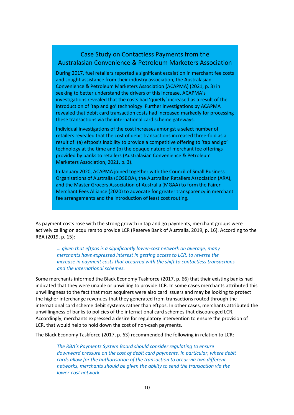## Case Study on Contactless Payments from the Australasian Convenience & Petroleum Marketers Association

During 2017, fuel retailers reported a significant escalation in merchant fee costs and sought assistance from their industry association, the Australasian Convenience & Petroleum Marketers Association (ACAPMA) (2021, p. 3) in seeking to better understand the drivers of this increase. ACAPMA's investigations revealed that the costs had 'quietly' increased as a result of the introduction of 'tap and go' technology. Further investigations by ACAPMA revealed that debit card transaction costs had increased markedly for processing these transactions via the international card scheme gateways.

Individual investigations of the cost increases amongst a select number of retailers revealed that the cost of debit transactions increased three-fold as a result of: (a) eftpos's inability to provide a competitive offering to 'tap and go' technology at the time and (b) the opaque nature of merchant fee offerings provided by banks to retailers (Australasian Convenience & Petroleum Marketers Association, 2021, p. 3).

In January 2020, ACAPMA joined together with the Council of Small Business Organisations of Australia (COSBOA), the Australian Retailers Association (ARA), and the Master Grocers Association of Australia (MGAA) to form the Fairer Merchant Fees Alliance (2020) to advocate for greater transparency in merchant fee arrangements and the introduction of least cost routing.

As payment costs rose with the strong growth in tap and go payments, merchant groups were actively calling on acquirers to provide LCR (Reserve Bank of Australia, 2019, p. 16). According to the RBA (2019, p. 15):

*… given that eftpos is a significantly lower-cost network on average, many merchants have expressed interest in getting access to LCR, to reverse the increase in payment costs that occurred with the shift to contactless transactions and the international schemes.*

Some merchants informed the Black Economy Taskforce (2017, p. 66) that their existing banks had indicated that they were unable or unwilling to provide LCR. In some cases merchants attributed this unwillingness to the fact that most acquirers were also card issuers and may be looking to protect the higher interchange revenues that they generated from transactions routed through the international card scheme debit systems rather than eftpos. In other cases, merchants attributed the unwillingness of banks to policies of the international card schemes that discouraged LCR. Accordingly, merchants expressed a desire for regulatory intervention to ensure the provision of LCR, that would help to hold down the cost of non-cash payments.

The Black Economy Taskforce (2017, p. 63) recommended the following in relation to LCR:

*The RBA's Payments System Board should consider regulating to ensure downward pressure on the cost of debit card payments. In particular, where debit cards allow for the authorisation of the transaction to occur via two different networks, merchants should be given the ability to send the transaction via the lower-cost network.*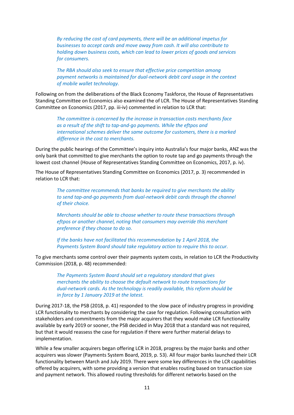*By reducing the cost of card payments, there will be an additional impetus for businesses to accept cards and move away from cash. It will also contribute to holding down business costs, which can lead to lower prices of goods and services for consumers.* 

*The RBA should also seek to ensure that effective price competition among payment networks is maintained for dual-network debit card usage in the context of mobile wallet technology.* 

Following on from the deliberations of the Black Economy Taskforce, the House of Representatives Standing Committee on Economics also examined the of LCR. The House of Representatives Standing Committee on Economics (2017, pp. iii-iv) commented in relation to LCR that:

*The committee is concerned by the increase in transaction costs merchants face as a result of the shift to tap-and-go payments. While the eftpos and international schemes deliver the same outcome for customers, there is a marked difference in the cost to merchants.*

During the public hearings of the Committee's inquiry into Australia's four major banks, ANZ was the only bank that committed to give merchants the option to route tap and go payments through the lowest cost channel (House of Representatives Standing Committee on Economics, 2017, p. iv).

The House of Representatives Standing Committee on Economics (2017, p. 3) recommended in relation to LCR that:

> *The committee recommends that banks be required to give merchants the ability to send tap-and-go payments from dual-network debit cards through the channel of their choice.*

> *Merchants should be able to choose whether to route these transactions through eftpos or another channel, noting that consumers may override this merchant preference if they choose to do so.*

*If the banks have not facilitated this recommendation by 1 April 2018, the Payments System Board should take regulatory action to require this to occur.*

To give merchants some control over their payments system costs, in relation to LCR the Productivity Commission (2018, p. 48) recommended:

*The Payments System Board should set a regulatory standard that gives merchants the ability to choose the default network to route transactions for dual-network cards. As the technology is readily available, this reform should be in force by 1 January 2019 at the latest.*

During 2017-18, the PSB (2018, p. 41) responded to the slow pace of industry progress in providing LCR functionality to merchants by considering the case for regulation. Following consultation with stakeholders and commitments from the major acquirers that they would make LCR functionality available by early 2019 or sooner, the PSB decided in May 2018 that a standard was not required, but that it would reassess the case for regulation if there were further material delays to implementation.

While a few smaller acquirers began offering LCR in 2018, progress by the major banks and other acquirers was slower (Payments System Board, 2019, p. 53). All four major banks launched their LCR functionality between March and July 2019. There were some key differences in the LCR capabilities offered by acquirers, with some providing a version that enables routing based on transaction size and payment network. This allowed routing thresholds for different networks based on the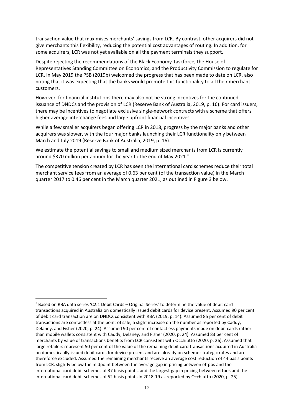transaction value that maximises merchants' savings from LCR. By contrast, other acquirers did not give merchants this flexibility, reducing the potential cost advantages of routing. In addition, for some acquirers, LCR was not yet available on all the payment terminals they support.

Despite rejecting the recommendations of the Black Economy Taskforce, the House of Representatives Standing Committee on Economics, and the Productivity Commission to regulate for LCR, in May 2019 the PSB (2019b) welcomed the progress that has been made to date on LCR, also noting that it was expecting that the banks would promote this functionality to all their merchant customers.

However, for financial institutions there may also not be strong incentives for the continued issuance of DNDCs and the provision of LCR (Reserve Bank of Australia, 2019, p. 16). For card issuers, there may be incentives to negotiate exclusive single-network contracts with a scheme that offers higher average interchange fees and large upfront financial incentives.

While a few smaller acquirers began offering LCR in 2018, progress by the major banks and other acquirers was slower, with the four major banks launching their LCR functionality only between March and July 2019 (Reserve Bank of Australia, 2019, p. 16).

We estimate the potential savings to small and medium sized merchants from LCR is currently around \$370 million per annum for the year to the end of May 2021.<sup>3</sup>

The competitive tension created by LCR has seen the international card schemes reduce their total merchant service fees from an average of 0.63 per cent (of the transaction value) in the March quarter 2017 to 0.46 per cent in the March quarter 2021, as outlined in Figure 3 below.

<sup>3</sup> Based on RBA data series 'C2.1 Debit Cards – Original Series' to determine the value of debit card transactions acquired in Australia on domestically issued debit cards for device present. Assumed 90 per cent of debit card transaction are on DNDCs consistent with RBA (2019, p. 14). Assumed 85 per cent of debit transactions are contactless at the point of sale, a slight increase on the number as reported by Caddy, Delaney, and Fisher (2020, p. 24). Assumed 90 per cent of contactless payments made on debit cards rather than mobile wallets consistent with Caddy, Delaney, and Fisher (2020, p. 24). Assumed 83 per cent of merchants by value of transactions benefits from LCR consistent with Occhiutto (2020, p. 26). Assumed that large retailers represent 50 per cent of the value of the remaining debit card transactions acquired in Australia on domesticaally issued debit cards for device present and are already on scheme strategic rates and are thereforce excluded. Assumed the remaining merchants receive an average cost reduction of 44 basis points from LCR, slightly below the midpoint between the average gap in pricing between eftpos and the international card debit schemes of 37 basis points, and the largest gap in pricing between eftpos and the international card debit schemes of 52 basis points in 2018-19 as reported by Occhiutto (2020, p. 25).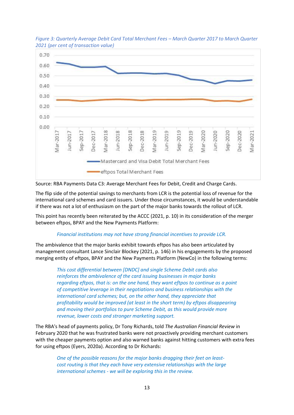

<span id="page-23-0"></span>*Figure 3: Quarterly Average Debit Card Total Merchant Fees – March Quarter 2017 to March Quarter 2021 (per cent of transaction value)*

Source: RBA Payments Dat[a C3: Average Merchant Fees for Debit, Credit and Charge Cards.](https://www.rba.gov.au/statistics/tables/xls/c03hist.xlsx)

The flip side of the potential savings to merchants from LCR is the potential loss of revenue for the international card schemes and card issuers. Under those circumstances, it would be understandable if there was not a lot of enthusiasm on the part of the major banks towards the rollout of LCR.

This point has recently been reiterated by the ACCC (2021, p. 10) in its consideration of the merger between eftpos, BPAY and the New Payments Platform:

#### *Financial institutions may not have strong financial incentives to provide LCR.*

The ambivalence that the major banks exhibit towards eftpos has also been articulated by management consultant Lance Sinclair Blockey (2021, p. 146) in his engagements by the proposed merging entity of eftpos, BPAY and the New Payments Platform (NewCo) in the following terms:

*This cost differential between [DNDC] and single Scheme Debit cards also reinforces the ambivalence of the card issuing businesses in major banks regarding eftpos, that is: on the one hand, they want eftpos to continue as a point of competitive leverage in their negotiations and business relationships with the international card schemes; but, on the other hand, they appreciate that profitability would be improved (at least in the short term) by eftpos disappearing and moving their portfolios to pure Scheme Debit, as this would provide more revenue, lower costs and stronger marketing support.*

The RBA's head of payments policy, Dr [Tony Richards,](javascript:void(0);) told *The Australian Financial Review* in February 2020 that he was frustrated banks were not proactively providing merchant customers with the cheaper payments option and also warned banks against hitting customers with extra fees for using eftpos (Eyers, 2020a). According to Dr Richards:

*One of the possible reasons for the major banks dragging their feet on leastcost routing is that they each have very extensive relationships with the large international schemes - we will be exploring this in the review.*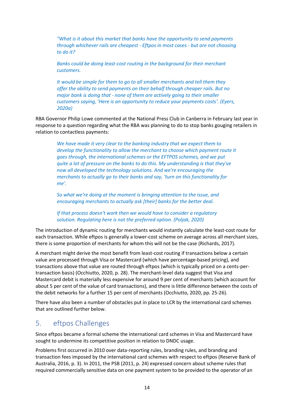*"What is it about this market that banks have the opportunity to send payments through whichever rails are cheapest - Eftpos in most cases - but are not choosing to do it?*

*Banks could be doing least-cost routing in the background for their merchant customers.*

*It would be simple for them to go to all smaller merchants and tell them they offer the ability to send payments on their behalf through cheaper rails. But no major bank is doing that - none of them are actively going to their smaller customers saying, 'Here is an opportunity to reduce your payments costs'. (Eyers, 2020a)*

RBA Governor Philip Lowe commented at the National Press Club in Canberra in February last year in response to a question regarding what the RBA was planning to do to stop banks gouging retailers in relation to contactless payments:

*We have made it very clear to the banking industry that we expect them to develop the functionality to allow the merchant to choose which payment route it goes through, the international schemes or the EFTPOS schemes, and we put quite a lot of pressure on the banks to do this. My understanding is that they've now all developed the technology solutions. And we're encouraging the merchants to actually go to their banks and say, 'turn on this functionality for me'.* 

*So what we're doing at the moment is bringing attention to the issue, and encouraging merchants to actually ask [their] banks for the better deal.* 

*If that process doesn't work then we would have to consider a regulatory solution. Regulating here is not the preferred option. (Poljak, 2020)*

The introduction of dynamic routing for merchants would instantly calculate the least-cost route for each transaction. While eftpos is generally a lower-cost scheme on average across all merchant sizes, there is some proportion of merchants for whom this will not be the case (Richards, 2017).

A merchant might derive the most benefit from least-cost routing if transactions below a certain value are processed through Visa or Mastercard (which have percentage-based pricing), and transactions above that value are routed through eftpos (which is typically priced on a cents-pertransaction basis) (Occhiutto, 2020, p. 28). The merchant-level data suggest that Visa and Mastercard debit is materially less expensive for around 9 per cent of merchants (which account for about 5 per cent of the value of card transactions), and there is little difference between the costs of the debit networks for a further 15 per cent of merchants (Occhiutto, 2020, pp. 25-26).

There have also been a number of obstacles put in place to LCR by the international card schemes that are outlined further below.

## <span id="page-24-0"></span>5. eftpos Challenges

Since eftpos became a formal scheme the international card schemes in Visa and Mastercard have sought to undermine its competitive position in relation to DNDC usage.

Problems first occurred in 2010 over data-reporting rules, branding rules, and branding and transaction fees imposed by the international card schemes with respect to eftpos (Reserve Bank of Australia, 2016, p. 3). In 2011, the PSB (2011, p. 24) expressed concern about scheme rules that required commercially sensitive data on one payment system to be provided to the operator of an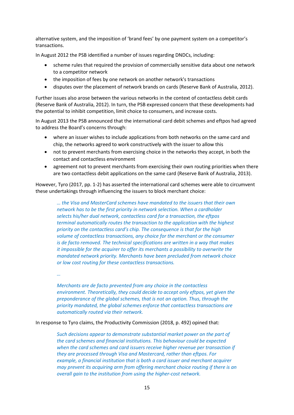alternative system, and the imposition of 'brand fees' by one payment system on a competitor's transactions.

In August 2012 the PSB identified a number of issues regarding DNDCs, including:

- scheme rules that required the provision of commercially sensitive data about one network to a competitor network
- the imposition of fees by one network on another network's transactions
- disputes over the placement of network brands on cards (Reserve Bank of Australia, 2012).

Further issues also arose between the various networks in the context of contactless debit cards (Reserve Bank of Australia, 2012). In turn, the PSB expressed concern that these developments had the potential to inhibit competition, limit choice to consumers, and increase costs.

In August 2013 the PSB announced that the international card debit schemes and eftpos had agreed to address the Board's concerns through:

- where an issuer wishes to include applications from both networks on the same card and chip, the networks agreed to work constructively with the issuer to allow this
- not to prevent merchants from exercising choice in the networks they accept, in both the contact and contactless environment
- agreement not to prevent merchants from exercising their own routing priorities when there are two contactless debit applications on the same card (Reserve Bank of Australia, 2013).

However, Tyro (2017, pp. 1-2) has asserted the international card schemes were able to circumvent these undertakings through influencing the issuers to block merchant choice:

*… the Visa and MasterCard schemes have mandated to the issuers that their own network has to be the first priority in network selection. When a cardholder selects his/her dual network, contactless card for a transaction, the eftpos terminal automatically routes the transaction to the application with the highest priority on the contactless card's chip. The consequence is that for the high volume of contactless transactions, any choice for the merchant or the consumer is de facto removed. The technical specifications are written in a way that makes it impossible for the acquirer to offer its merchants a possibility to overwrite the mandated network priority. Merchants have been precluded from network choice or low cost routing for these contactless transactions.*

*…*

*Merchants are de facto prevented from any choice in the contactless environment. Theoretically, they could decide to accept only eftpos, yet given the preponderance of the global schemes, that is not an option. Thus, through the priority mandated, the global schemes enforce that contactless transactions are automatically routed via their network.*

In response to Tyro claims, the Productivity Commission (2018, p. 492) opined that:

*Such decisions appear to demonstrate substantial market power on the part of the card schemes and financial institutions. This behaviour could be expected when the card schemes and card issuers receive higher revenue per transaction if they are processed through Visa and Mastercard, rather than eftpos. For example, a financial institution that is both a card issuer and merchant acquirer may prevent its acquiring arm from offering merchant choice routing if there is an overall gain to the institution from using the higher-cost network.*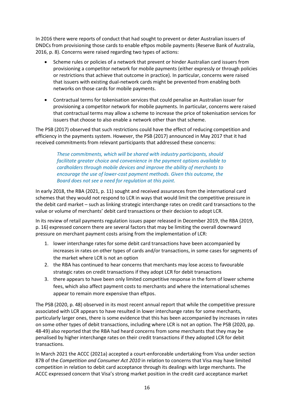In 2016 there were reports of conduct that had sought to prevent or deter Australian issuers of DNDCs from provisioning those cards to enable eftpos mobile payments (Reserve Bank of Australia, 2016, p. 8). Concerns were raised regarding two types of actions:

- Scheme rules or policies of a network that prevent or hinder Australian card issuers from provisioning a competitor network for mobile payments (either expressly or through policies or restrictions that achieve that outcome in practice). In particular, concerns were raised that issuers with existing dual-network cards might be prevented from enabling both networks on those cards for mobile payments.
- Contractual terms for tokenisation services that could penalise an Australian issuer for provisioning a competitor network for mobile payments. In particular, concerns were raised that contractual terms may allow a scheme to increase the price of tokenisation services for issuers that choose to also enable a network other than that scheme.

The PSB (2017) observed that such restrictions could have the effect of reducing competition and efficiency in the payments system. However, the PSB (2017) announced in May 2017 that it had received commitments from relevant participants that addressed these concerns:

*These commitments, which will be shared with industry participants, should facilitate greater choice and convenience in the payment options available to cardholders through mobile devices and improve the ability of merchants to encourage the use of lower-cost payment methods. Given this outcome, the Board does not see a need for regulation at this point.*

In early 2018, the RBA (2021, p. 11) sought and received assurances from the international card schemes that they would not respond to LCR in ways that would limit the competitive pressure in the debit card market – such as linking strategic interchange rates on credit card transactions to the value or volume of merchants' debit card transactions or their decision to adopt LCR.

In its review of retail payments regulation issues paper released in December 2019, the RBA (2019, p. 16) expressed concern there are several factors that may be limiting the overall downward pressure on merchant payment costs arising from the implementation of LCR:

- 1. lower interchange rates for some debit card transactions have been accompanied by increases in rates on other types of cards and/or transactions, in some cases for segments of the market where LCR is not an option
- 2. the RBA has continued to hear concerns that merchants may lose access to favourable strategic rates on credit transactions if they adopt LCR for debit transactions
- 3. there appears to have been only limited competitive response in the form of lower scheme fees, which also affect payment costs to merchants and where the international schemes appear to remain more expensive than eftpos.

The PSB (2020, p. 48) observed in its most recent annual report that while the competitive pressure associated with LCR appears to have resulted in lower interchange rates for some merchants, particularly larger ones, there is some evidence that this has been accompanied by increases in rates on some other types of debit transactions, including where LCR is not an option. The PSB (2020, pp. 48-49) also reported that the RBA had heard concerns from some merchants that they may be penalised by higher interchange rates on their credit transactions if they adopted LCR for debit transactions.

In March 2021 the ACCC (2021a) accepted a court-enforceable undertaking from Visa under section 87B of the *Competition and Consumer Act 2010* in relation to concerns that Visa may have limited competition in relation to debit card acceptance through its dealings with large merchants. The ACCC expressed concern that Visa's strong market position in the credit card acceptance market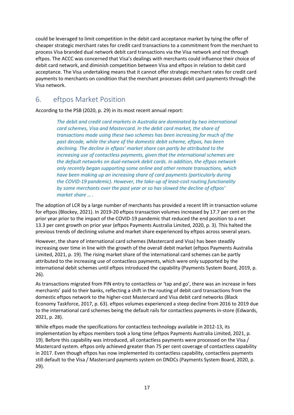could be leveraged to limit competition in the debit card acceptance market by tying the offer of cheaper strategic merchant rates for credit card transactions to a commitment from the merchant to process Visa branded dual network debit card transactions via the Visa network and not through eftpos. The ACCC was concerned that Visa's dealings with merchants could influence their choice of debit card network, and diminish competition between Visa and eftpos in relation to debit card acceptance. The Visa undertaking means that it cannot offer strategic merchant rates for credit card payments to merchants on condition that the merchant processes debit card payments through the Visa network.

## <span id="page-27-0"></span>6. eftpos Market Position

According to the PSB (2020, p. 29) in its most recent annual report:

*The debit and credit card markets in Australia are dominated by two international card schemes, Visa and Mastercard. In the debit card market, the share of transactions made using these two schemes has been increasing for much of the past decade, while the share of the domestic debit scheme, eftpos, has been declining. The decline in eftpos' market share can partly be attributed to the increasing use of contactless payments, given that the international schemes are the default networks on dual-network debit cards. In addition, the eftpos network only recently began supporting some online and other remote transactions, which have been making up an increasing share of card payments (particularly during the COVID-19 pandemic). However, the take-up of least-cost routing functionality by some merchants over the past year or so has slowed the decline of eftpos' market share … .*

The adoption of LCR by a large number of merchants has provided a recent lift in transaction volume for eftpos (Blockey, 2021). In 2019-20 eftpos transaction volumes increased by 17.7 per cent on the prior year prior to the impact of the COVID-19 pandemic that reduced the end position to a net 13.3 per cent growth on prior year (eftpos Payments Australia Limited, 2020, p. 3). This halted the previous trends of declining volume and market share experienced by eftpos across several years.

However, the share of international card schemes (Mastercard and Visa) has been steadily increasing over time in line with the growth of the overall debit market (eftpos Payments Australia Limited, 2021, p. 19). The rising market share of the international card schemes can be partly attributed to the increasing use of contactless payments, which were only supported by the international debit schemes until eftpos introduced the capability (Payments System Board, 2019, p. 26).

As transactions migrated from PIN entry to contactless or 'tap and go', there was an increase in fees merchants' paid to their banks, reflecting a shift in the routing of debit card transactions from the domestic eftpos network to the higher-cost Mastercard and Visa debit card networks (Black Economy Taskforce, 2017, p. 63). eftpos volumes experienced a steep decline from 2016 to 2019 due to the international card schemes being the default rails for contactless payments in-store (Edwards, 2021, p. 28).

While eftpos made the specifications for contactless technology available in 2012-13, its implementation by eftpos members took a long time (eftpos Payments Australia Limited, 2021, p. 19). Before this capability was introduced, all contactless payments were processed on the Visa / Mastercard system. eftpos only achieved greater than 75 per cent coverage of contactless capability in 2017. Even though eftpos has now implemented its contactless capability, contactless payments still default to the Visa / Mastercard payments system on DNDCs (Payments System Board, 2020, p. 29).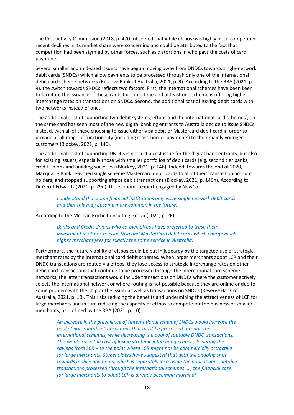The Productivity Commission (2018, p. 470) observed that while eftpos was highly price-competitive, recent declines in its market share were concerning and could be attributed to the fact that competition had been stymied by other forces, such as distortions in who pays the costs of card payments.

Several smaller and mid-sized issuers have begun moving away from DNDCs towards single-network debit cards (SNDCs) which allow payments to be processed through only one of the international debit card scheme networks (Reserve Bank of Australia, 2021, p. 9). According to the RBA (2021, p. 9), the switch towards SNDCs reflects two factors. First, the international schemes have been keen to facilitate the issuance of these cards for some time and at least one scheme is offering higher interchange rates on transactions on SNDCs. Second, the additional cost of issuing debit cards with two networks instead of one.

The additional cost of supporting two debit systems, eftpos and the international card schemes', on the same card has seen most of the new digital banking entrants to Australia decide to issue SNDCs instead, with all of these choosing to issue either Visa debit or Mastercard debit card in order to provide a full range of functionality (including cross-border payments) to their mainly younger customers (Blockey, 2021, p. 146).

The additional cost of supporting DNDCs is not just a cost issue for the digital bank entrants, but also for existing issuers, especially those with smaller portfolios of debit cards (e.g. second tier banks, credit unions and building societies) (Blockey, 2021, p. 146). Indeed, towards the end of 2020, Macquarie Bank re-issued single scheme Mastercard debit cards to all of their transaction account holders, and stopped supporting eftpos debit transactions (Blockey, 2021, p. 146n). According to Dr Geoff Edwards (2021, p. 79n), the economic expert engaged by NewCo:

*I understand that some financial institutions only issue single network debit cards and that this may become more common in the future.*

According to the McLean Roche Consulting Group (2021, p. 26):

*Banks and Credit Unions who co-own eftpos have preferred to trash their investment in eftpos to issue Visa and MasterCard debit cards which charge much higher merchant fees for exactly the same service in Australia.*

Furthermore, the future viability of eftpos could be put in jeopardy by the targeted use of strategic merchant rates by the international card debit schemes. When larger merchants adopt LCR and their DNDC transactions are routed via eftpos, they lose access to strategic interchange rates on other debit card transactions that continue to be processed through the international card scheme networks; the latter transactions would include transactions on DNDCs where the customer actively selects the international network or where routing is not possible because they are online or due to some problem with the chip or the issuer as well as transactions on SNDCs (Reserve Bank of Australia, 2021, p. 10). This risks reducing the benefits and undermining the attractiveness of LCR for large merchants and in turn reducing the capacity of eftpos to compete for the business of smaller merchants, as outlined by the RBA (2021, p. 10):

*An increase in the prevalence of (international scheme) SNDCs would increase the pool of non-routable transactions that must be processed through the international schemes, while decreasing the pool of routable DNDC transactions. This would raise the cost of losing strategic interchange rates – lowering the savings from LCR – to the point where LCR might not be commercially attractive for large merchants. Stakeholders have suggested that with the ongoing shift towards mobile payments, which is separately increasing the pool of non-routable transactions processed through the international schemes … , the financial case for large merchants to adopt LCR is already becoming marginal.*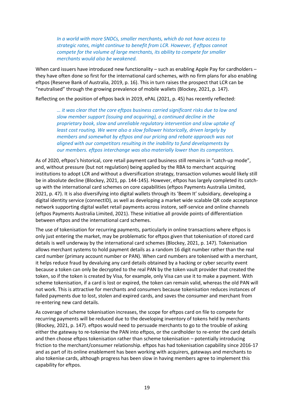*In a world with more SNDCs, smaller merchants, which do not have access to strategic rates, might continue to benefit from LCR. However, if eftpos cannot compete for the volume of large merchants, its ability to compete for smaller merchants would also be weakened.*

When card issuers have introduced new functionality – such as enabling Apple Pay for cardholders – they have often done so first for the international card schemes, with no firm plans for also enabling eftpos (Reserve Bank of Australia, 2019, p. 16). This in turn raises the prospect that LCR can be "neutralised" through the growing prevalence of mobile wallets (Blockey, 2021, p. 147).

Reflecting on the position of eftpos back in 2019, ePAL (2021, p. 45) has recently reflected:

*… it was clear that the core eftpos business carried significant risks due to low and slow member support (issuing and acquiring), a continued decline in the proprietary book, slow and unreliable regulatory intervention and slow uptake of least cost routing. We were also a slow follower historically, driven largely by members and somewhat by eftpos and our pricing and rebate approach was not aligned with our competitors resulting in the inability to fund developments by our members. eftpos interchange was also materially lower than its competitors.*

As of 2020, eftpos's historical, core retail payment card business still remains in "catch-up mode", and, without pressure (but not regulation) being applied by the RBA to merchant acquiring institutions to adopt LCR and without a diversification strategy, transaction volumes would likely still be in absolute decline (Blockey, 2021, pp. 144-145). However, eftpos has largely completed its catchup with the international card schemes on core capabilities (eftpos Payments Australia Limited, 2021, p. 47). It is also diversifying into digital wallets through its 'Beem It' subsidiary, developing a digital identity service (connectID), as well as developing a market wide scalable QR code acceptance network supporting digital wallet retail payments across instore, self-service and online channels (eftpos Payments Australia Limited, 2021). These initiative all provide points of differentiation between eftpos and the international card schemes.

The use of tokenisation for recurring payments, particularly in online transactions where eftpos is only just entering the market, may be problematic for eftpos given that tokenisation of stored card details is well underway by the international card schemes (Blockey, 2021, p. 147). Tokenisation allows merchant systems to hold payment details as a random 16 digit number rather than the real card number (primary account number or PAN). When card numbers are tokenised with a merchant, it helps reduce fraud by devaluing any card details obtained by a hacking or cyber security event because a token can only be decrypted to the real PAN by the token vault provider that created the token, so if the token is created by Visa, for example, only Visa can use it to make a payment. With scheme tokenisation, if a card is lost or expired, the token can remain valid, whereas the old PAN will not work. This is attractive for merchants and consumers because tokenisation reduces instances of failed payments due to lost, stolen and expired cards, and saves the consumer and merchant from re-entering new card details.

As coverage of scheme tokenisation increases, the scope for eftpos card on file to compete for recurring payments will be reduced due to the developing inventory of tokens held by merchants (Blockey, 2021, p. 147). eftpos would need to persuade merchants to go to the trouble of asking either the gateway to re-tokenise the PAN into eftpos, or the cardholder to re-enter the card details and then choose eftpos tokenisation rather than scheme tokenisation – potentially introducing friction to the merchant/consumer relationship. eftpos has had tokenisation capability since 2016-17 and as part of its online enablement has been working with acquirers, gateways and merchants to also tokenise cards, although progress has been slow in having members agree to implement this capability for eftpos.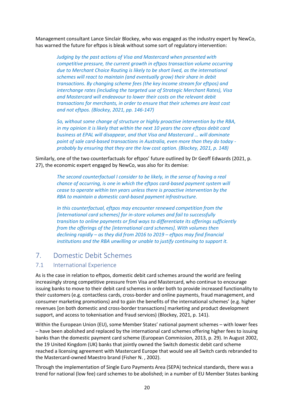Management consultant Lance Sinclair Blockey, who was engaged as the industry expert by NewCo, has warned the future for eftpos is bleak without some sort of regulatory intervention:

*Judging by the past actions of Visa and Mastercard when presented with competitive pressure, the current growth in eftpos transaction volume occurring due to Merchant Choice Routing is likely to be short lived, as the international schemes will react to maintain (and eventually grow) their share in debit transactions. By changing scheme fees (the key income stream for eftpos) and interchange rates (including the targeted use of Strategic Merchant Rates), Visa and Mastercard will endeavour to lower their costs on the relevant debit transactions for merchants, in order to ensure that their schemes are least cost and not eftpos. (Blockey, 2021, pp. 146-147)*

*So, without some change of structure or highly proactive intervention by the RBA, in my opinion it is likely that within the next 10 years the core eftpos debit card business at EPAL will disappear, and that Visa and Mastercard … will dominate point of sale card-based transactions in Australia, even more than they do today probably by ensuring that they are the low cost option. (Blockey, 2021, p. 148)*

Similarly, one of the two counterfactuals for eftpos' future outlined by Dr Geoff Edwards (2021, p. 27), the economic expert engaged by NewCo, was also for its demise:

*The second counterfactual I consider to be likely, in the sense of having a real chance of occurring, is one in which the eftpos card-based payment system will cease to operate within ten years unless there is proactive intervention by the RBA to maintain a domestic card-based payment infrastructure.*

*In this counterfactual, eftpos may encounter renewed competition from the [international card schemes] for in-store volumes and fail to successfully transition to online payments or find ways to differentiate its offerings sufficiently from the offerings of the [international card schemes]. With volumes then declining rapidly – as they did from 2016 to 2019 – eftpos may find financial institutions and the RBA unwilling or unable to justify continuing to support it.*

## <span id="page-30-0"></span>7. Domestic Debit Schemes

#### <span id="page-30-1"></span>7.1 International Experience

As is the case in relation to eftpos, domestic debit card schemes around the world are feeling increasingly strong competitive pressure from Visa and Mastercard, who continue to encourage issuing banks to move to their debit card schemes in order both to provide increased functionality to their customers (e.g. contactless cards, cross-border and online payments, fraud management, and consumer marketing promotions) and to gain the benefits of the international schemes' (e.g. higher revenues [on both domestic and cross-border transactions] marketing and product development support, and access to tokenisation and fraud services) (Blockey, 2021, p. 141).

Within the European Union (EU), some Member States' national payment schemes – with lower fees – have been abolished and replaced by the international card schemes offering higher fees to issuing banks than the domestic payment card scheme (European Commission, 2013, p. 29). In August 2002, the 19 United Kingdom (UK) banks that jointly owned the Switch domestic debit card scheme reached a licensing agreement with Mastercard Europe that would see all Switch cards rebranded to the Mastercard-owned Maestro brand (Fisher N. , 2002).

Through the implementation of Single Euro Payments Area (SEPA) technical standards, there was a trend for national (low fee) card schemes to be abolished; in a number of EU Member States banking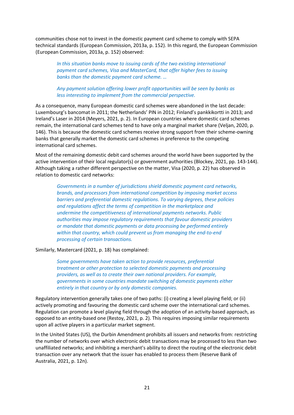communities chose not to invest in the domestic payment card scheme to comply with SEPA technical standards (European Commission, 2013a, p. 152). In this regard, the European Commission (European Commission, 2013a, p. 152) observed:

*In this situation banks move to issuing cards of the two existing international payment card schemes, Visa and MasterCard, that offer higher fees to issuing banks than the domestic payment card scheme. …*

*Any payment solution offering lower profit opportunities will be seen by banks as less interesting to implement from the commercial perspective.*

As a consequence, many European domestic card schemes were abandoned in the last decade: Luxembourg's bancomat in 2011; the Netherlands' PIN in 2012; Finland's pankkikortti in 2013; and Ireland's Laser in 2014 (Meyers, 2021, p. 2). In European countries where domestic card schemes remain, the international card schemes tend to have only a marginal market share (Veljan, 2020, p. 146). This is because the domestic card schemes receive strong support from their scheme-owning banks that generally market the domestic card schemes in preference to the competing international card schemes.

Most of the remaining domestic debit card schemes around the world have been supported by the active intervention of their local regulator(s) or government authorities (Blockey, 2021, pp. 143-144). Although taking a rather different perspective on the matter, Visa (2020, p. 22) has observed in relation to domestic card networks:

*Governments in a number of jurisdictions shield domestic payment card networks, brands, and processors from international competition by imposing market access barriers and preferential domestic regulations. To varying degrees, these policies and regulations affect the terms of competition in the marketplace and undermine the competitiveness of international payments networks. Public authorities may impose regulatory requirements that favour domestic providers or mandate that domestic payments or data processing be performed entirely within that country, which could prevent us from managing the end-to-end processing of certain transactions.*

Similarly, Mastercard (2021, p. 18) has complained:

*Some governments have taken action to provide resources, preferential treatment or other protection to selected domestic payments and processing providers, as well as to create their own national providers. For example, governments in some countries mandate switching of domestic payments either entirely in that country or by only domestic companies.*

Regulatory intervention generally takes one of two paths: (i) creating a level playing field; or (ii) actively promoting and favouring the domestic card scheme over the international card schemes. Regulation can promote a level playing field through the adoption of an activity-based approach, as opposed to an entity-based one (Restoy, 2021, p. 2). This requires imposing similar requirements upon all active players in a particular market segment.

In the United States (US), the Durbin Amendment prohibits all issuers and networks from: restricting the number of networks over which electronic debit transactions may be processed to less than two unaffiliated networks; and inhibiting a merchant's ability to direct the routing of the electronic debit transaction over any network that the issuer has enabled to process them (Reserve Bank of Australia, 2021, p. 12n).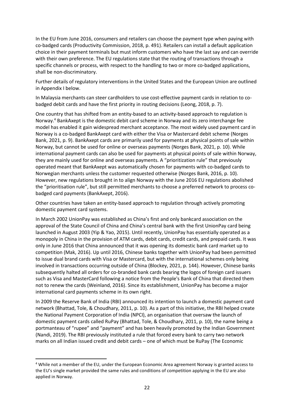In the EU from June 2016, consumers and retailers can choose the payment type when paying with co-badged cards (Productivity Commission, 2018, p. 491). Retailers can install a default application choice in their payment terminals but must inform customers who have the last say and can override with their own preference. The EU regulations state that the routing of transactions through a specific channels or process, with respect to the handling to two or more co-badged applications, shall be non-discriminatory.

Further details of regulatory interventions in the United States and the European Union are outlined in Appendix I below.

In Malaysia merchants can steer cardholders to use cost-effective payment cards in relation to cobadged debit cards and have the first priority in routing decisions (Leong, 2018, p. 7).

One country that has shifted from an entity-based to an activity-based approach to regulation is Norway.<sup>4</sup> BankAxept is the domestic debit card scheme in Norway and its zero interchange fee model has enabled it gain widespread merchant acceptance. The most widely used payment card in Norway is a co-badged BankAxept card with either the Visa or Mastercard debit scheme (Norges Bank, 2021, p. 9). BankAxept cards are primarily used for payments at physical points of sale within Norway, but cannot be used for online or overseas payments (Norges Bank, 2021, p. 10). While international payment cards can also be used for payments at physical points of sale within Norway, they are mainly used for online and overseas payments. A "prioritization rule" that previously operated meant that BankAxept was automatically chosen for payments with co-badged cards to Norwegian merchants unless the customer requested otherwise (Norges Bank, 2016, p. 10). However, new regulations brought in to align Norway with the June 2016 EU regulations abolished the "prioritisation rule", but still permitted merchants to choose a preferred network to process cobadged card payments (BankAxept, 2016).

Other countries have taken an entity-based approach to regulation through actively promoting domestic payment card systems.

In March 2002 UnionPay was established as China's first and only bankcard association on the approval of the State Council of China and China's central bank with the first UnionPay card being launched in August 2003 (Yip & Yao, 2015). Until recently, UnionPay has essentially operated as a monopoly in China in the provision of ATM cards, debit cards, credit cards, and prepaid cards. It was only in June 2016 that China announced that it was opening its domestic bank card market up to competition (Mak, 2016). Up until 2016, Chinese banks together with UnionPay had been permitted to issue dual brand cards with Visa or Mastercard, but with the international schemes only being involved in transactions occurring outside of China (Blockey, 2021, p. 144). However, Chinese banks subsequently halted all orders for co-branded bank cards bearing the logos of foreign card issuers such as Visa and MasterCard following a notice from the People's Bank of China that directed them not to renew the cards (Weinland, 2016). Since its establishment, UnionPay has become a major international card payments scheme in its own right.

In 2009 the Reserve Bank of India (RBI) announced its intention to launch a domestic payment card network (Bhattad, Tole, & Choudhary, 2011, p. 10). As a part of this initiative, the RBI helped create the National Payment Corporation of India (NPCI), an organisation that oversaw the launch of domestic payment cards called RuPay (Bhattad, Tole, & Choudhary, 2011, p. 10), the name being a portmanteau of "rupee" and "payment" and has been heavily promoted by the Indian Government (Nandi, 2019). The RBI previously instituted a rule that forced every bank to carry two network marks on all Indian issued credit and debit cards – one of which must be RuPay (The Economic

<sup>4</sup> While not a member of the EU, under the European Economic Area agreement Norway is granted access to the EU's single market provided the same rules and conditions of competition applying in the EU are also applied in Norway.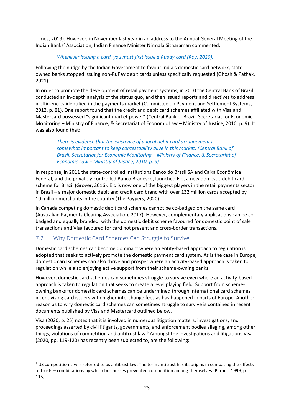Times, 2019). However, in November last year in an address to the Annual General Meeting of the Indian Banks' Association, Indian Finance Minister Nirmala Sitharaman commented:

#### *Whenever issuing a card, you must first issue a Rupay card (Roy, 2020).*

Following the nudge by the Indian Government to favour India's domestic card network, stateowned banks stopped issuing non-RuPay debit cards unless specifically requested (Ghosh & Pathak, 2021).

In order to promote the development of retail payment systems, in 2010 the Central Bank of Brazil conducted an in-depth analysis of the status quo, and then issued reports and directives to address inefficiencies identified in the payments market (Committee on Payment and Settlement Systems, 2012, p. 81). One report found that the credit and debit card schemes affiliated with Visa and Mastercard possessed "significant market power" (Central Bank of Brazil, Secretariat for Economic Monitoring – Ministry of Finance, & Secretariat of Economic Law – Ministry of Justice, 2010, p. 9). It was also found that:

*There is evidence that the existence of a local debit card arrangement is somewhat important to keep contestability alive in this market. (Central Bank of Brazil, Secretariat for Economic Monitoring – Ministry of Finance, & Secretariat of Economic Law – Ministry of Justice, 2010, p. 9)*

In response, in 2011 the state-controlled institutions Banco do Brasil SA and Caixa Econômica Federal, and the privately-controlled Banco Bradesco, launched Elo, a new domestic debit card scheme for Brazil (Grover, 2016). Elo is now one of the biggest players in the retail payments sector in Brazil – a major domestic debit and credit card brand with over 132 million cards accepted by 10 million merchants in the country (The Paypers, 2020).

In Canada competing domestic debit card schemes cannot be co-badged on the same card (Australian Payments Clearing Association, 2017). However, complementary applications can be cobadged and equally branded, with the domestic debit scheme favoured for domestic point of sale transactions and Visa favoured for card not present and cross-border transactions.

#### <span id="page-33-0"></span>7.2 Why Domestic Card Schemes Can Struggle to Survive

Domestic card schemes can become dominant where an entity-based approach to regulation is adopted that seeks to actively promote the domestic payment card system. As is the case in Europe, domestic card schemes can also thrive and prosper where an activity-based approach is taken to regulation while also enjoying active support from their scheme-owning banks.

However, domestic card schemes can sometimes struggle to survive even where an activity-based approach is taken to regulation that seeks to create a level playing field. Support from schemeowning banks for domestic card schemes can be undermined through international card schemes incentivising card issuers with higher interchange fees as has happened in parts of Europe. Another reason as to why domestic card schemes can sometimes struggle to survive is contained in recent documents published by Visa and Mastercard outlined below.

Visa (2020, p. 25) notes that it is involved in numerous litigation matters, investigations, and proceedings asserted by civil litigants, governments, and enforcement bodies alleging, among other things, violations of competition and antitrust law.<sup>5</sup> Amongst the investigations and litigations Visa (2020, pp. 119-120) has recently been subjected to, are the following:

 $5$  US competition law is referred to as antitrust law. The term antitrust has its origins in combating the effects of trusts – combinations by which businesses prevented competition among themselves (Barnes, 1999, p. 115).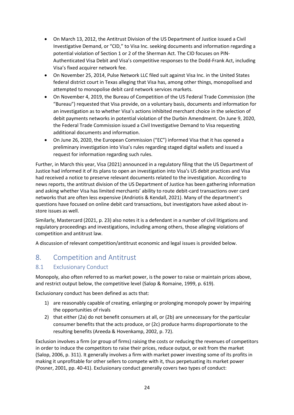- On March 13, 2012, the Antitrust Division of the US Department of Justice issued a Civil Investigative Demand, or "CID," to Visa Inc. seeking documents and information regarding a potential violation of Section 1 or 2 of the Sherman Act. The CID focuses on PIN-Authenticated Visa Debit and Visa's competitive responses to the Dodd-Frank Act, including Visa's fixed acquirer network fee.
- On November 25, 2014, Pulse Network LLC filed suit against Visa Inc. in the United States federal district court in Texas alleging that Visa has, among other things, monopolised and attempted to monopolise debit card network services markets.
- On November 4, 2019, the Bureau of Competition of the US Federal Trade Commission (the "Bureau") requested that Visa provide, on a voluntary basis, documents and information for an investigation as to whether Visa's actions inhibited merchant choice in the selection of debit payments networks in potential violation of the Durbin Amendment. On June 9, 2020, the Federal Trade Commission issued a Civil Investigative Demand to Visa requesting additional documents and information.
- On June 26, 2020, the European Commission ("EC") informed Visa that it has opened a preliminary investigation into Visa's rules regarding staged digital wallets and issued a request for information regarding such rules.

Further, in March this year, Visa (2021) announced in a regulatory filing that the US Department of Justice had informed it of its plans to open an investigation into Visa's US debit practices and Visa had received a notice to preserve relevant documents related to the investigation. According to news reports, the antitrust division of the US Department of Justice has been gathering information and asking whether Visa has limited merchants' ability to route debit-card transactions over card networks that are often less expensive (Andriotis & Kendall, 2021). Many of the department's questions have focused on online debit card transactions, but investigators have asked about instore issues as well.

Similarly, Mastercard (2021, p. 23) also notes it is a defendant in a number of civil litigations and regulatory proceedings and investigations, including among others, those alleging violations of competition and antitrust law.

<span id="page-34-0"></span>A discussion of relevant competition/antitrust economic and legal issues is provided below.

## 8. Competition and Antitrust

#### <span id="page-34-1"></span>8.1 Exclusionary Conduct

Monopoly, also often referred to as market power, is the power to raise or maintain prices above, and restrict output below, the competitive level (Salop & Romaine, 1999, p. 619).

Exclusionary conduct has been defined as acts that:

- 1) are reasonably capable of creating, enlarging or prolonging monopoly power by impairing the opportunities of rivals
- 2) that either (2a) do not benefit consumers at all, or (2b) are unnecessary for the particular consumer benefits that the acts produce, or (2c) produce harms disproportionate to the resulting benefits (Areeda & Hovenkamp, 2002, p. 72).

Exclusion involves a firm (or group of firms) raising the costs or reducing the revenues of competitors in order to induce the competitors to raise their prices, reduce output, or exit from the market (Salop, 2006, p. 311). It generally involves a firm with market power investing some of its profits in making it unprofitable for other sellers to compete with it, thus perpetuating its market power (Posner, 2001, pp. 40-41). Exclusionary conduct generally covers two types of conduct: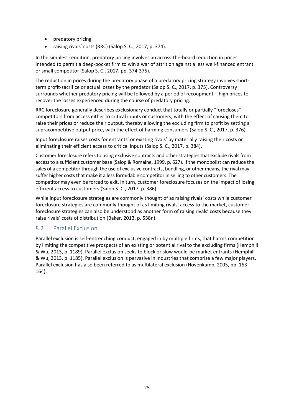- predatory pricing
- raising rivals' costs (RRC) (Salop S. C., 2017, p. 374).

In the simplest rendition, predatory pricing involves an across-the-board reduction in prices intended to permit a deep-pocket firm to win a war of attrition against a less well-financed entrant or small competitor (Salop S. C., 2017, pp. 374-375).

The reduction in prices during the predatory phase of a predatory pricing strategy involves shortterm profit-sacrifice or actual losses by the predator (Salop S. C., 2017, p. 375). Controversy surrounds whether predatory pricing will be followed by a period of recoupment – high prices to recover the losses experienced during the course of predatory pricing.

RRC foreclosure generally describes exclusionary conduct that totally or partially "forecloses" competitors from access either to critical inputs or customers, with the effect of causing them to raise their prices or reduce their output, thereby allowing the excluding firm to profit by setting a supracompetitive output price, with the effect of harming consumers (Salop S. C., 2017, p. 376).

Input foreclosure raises costs for entrants' or existing rivals' by materially raising their costs or eliminating their efficient access to critical inputs (Salop S. C., 2017, p. 384).

Customer foreclosure refers to using exclusive contracts and other strategies that exclude rivals from access to a sufficient customer base (Salop & Romaine, 1999, p. 627). If the monopolist can reduce the sales of a competitor through the use of exclusive contracts, bundling, or other means, the rival may suffer higher costs that make it a less formidable competitor in selling to other customers. The competitor may even be forced to exit. In turn, customer foreclosure focuses on the impact of losing efficient access to customers (Salop S. C., 2017, p. 386).

While input foreclosure strategies are commonly thought of as raising rivals' costs while customer foreclosure strategies are commonly thought of as limiting rivals' access to the market, customer foreclosure strategies can also be understood as another form of raising rivals' costs because they raise rivals' costs of distribution (Baker, 2013, p. 538n).

#### <span id="page-35-0"></span>8.2 Parallel Exclusion

Parallel exclusion is self-entrenching conduct, engaged in by multiple firms, that harms competition by limiting the competitive prospects of an existing or potential rival to the excluding firms (Hemphill & Wu, 2013, p. 1189). Parallel exclusion seeks to block or slow would-be market entrants (Hemphill & Wu, 2013, p. 1185). Parallel exclusion is pervasive in industries that comprise a few major players. Parallel exclusion has also been referred to as multilateral exclusion (Hovenkamp, 2005, pp. 163- 164).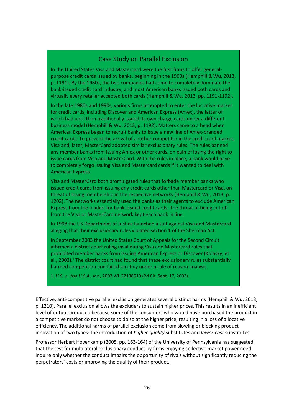#### Case Study on Parallel Exclusion

In the United States Visa and Mastercard were the first firms to offer generalpurpose credit cards issued by banks, beginning in the 1960s (Hemphill & Wu, 2013, p. 1191). By the 1980s, the two companies had come to completely dominate the bank-issued credit card industry, and most American banks issued both cards and virtually every retailer accepted both cards (Hemphill & Wu, 2013, pp. 1191-1192).

In the late 1980s and 1990s, various firms attempted to enter the lucrative market for credit cards, including Discover and American Express (Amex), the latter of which had until then traditionally issued its own charge cards under a different business model (Hemphill & Wu, 2013, p. 1192). Matters came to a head when American Express began to recruit banks to issue a new line of Amex-branded credit cards. To prevent the arrival of another competitor in the credit card market, Visa and, later, MasterCard adopted similar exclusionary rules. The rules banned any member banks from issuing Amex or other cards, on pain of losing the right to issue cards from Visa and MasterCard. With the rules in place, a bank would have to completely forgo issuing Visa and Mastercard cards if it wanted to deal with American Express.

Visa and MasterCard both promulgated rules that forbade member banks who issued credit cards from issuing any credit cards other than Mastercard or Visa, on threat of losing membership in the respective networks (Hemphill & Wu, 2013, p. 1202). The networks essentially used the banks as their agents to exclude American Express from the market for bank-issued credit cards. The threat of being cut off from the Visa or MasterCard network kept each bank in line.

In 1998 the US Department of Justice launched a suit against Visa and Mastercard alleging that their exclusionary rules violated section 1 of the Sherman Act.

In September 2003 the United States Court of Appeals for the Second Circuit affirmed a district court ruling invalidating Visa and Mastercard rules that prohibited member banks from issuing American Express or Discover (Kolasky, et al., 2003). <sup>1</sup> The district court had found that these exclusionary rules substantially harmed competition and failed scrutiny under a rule of reason analysis.

1. *U.S. v. Visa U.S.A., Inc*., 2003 WL 22138519 (2d Cir. Sept. 17, 2003).

Effective, anti-competitive parallel exclusion generates several distinct harms (Hemphill & Wu, 2013, p. 1210). Parallel exclusion allows the excluders to sustain higher prices. This results in an inefficient level of output produced because some of the consumers who would have purchased the product in a competitive market do not choose to do so at the higher price, resulting in a loss of allocative efficiency. The additional harms of parallel exclusion come from slowing or blocking product innovation of two types: the introduction of *higher-quality* substitutes and *lower-cost* substitutes.

Professor Herbert Hovenkamp (2005, pp. 163-164) of the University of Pennsylvania has suggested that the test for multilateral exclusionary conduct by firms enjoying collective market power need inquire only whether the conduct impairs the opportunity of rivals without significantly reducing the perpetrators' costs or improving the quality of their product.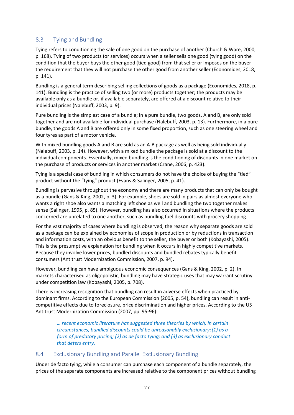#### <span id="page-37-0"></span>8.3 Tying and Bundling

Tying refers to conditioning the sale of one good on the purchase of another (Church & Ware, 2000, p. 168). Tying of two products (or services) occurs when a seller sells one good (tying good) on the condition that the buyer buys the other good (tied good) from that seller or imposes on the buyer the requirement that they will not purchase the other good from another seller (Economides, 2018, p. 141).

Bundling is a general term describing selling collections of goods as a package (Economides, 2018, p. 141). Bundling is the practice of selling two (or more) products together; the products may be available only as a bundle or, if available separately, are offered at a discount relative to their individual prices (Nalebuff, 2003, p. 9).

Pure bundling is the simplest case of a bundle; in a pure bundle, two goods, A and B, are only sold together and are not available for individual purchase (Nalebuff, 2003, p. 13). Furthermore, in a pure bundle, the goods A and B are offered only in some fixed proportion, such as one steering wheel and four tyres as part of a motor vehicle.

With mixed bundling goods A and B are sold as an A-B package as well as being sold individually (Nalebuff, 2003, p. 14). However, with a mixed bundle the package is sold at a discount to the individual components. Essentially, mixed bundling is the conditioning of discounts in one market on the purchase of products or services in another market (Crane, 2006, p. 423).

Tying is a special case of bundling in which consumers do not have the choice of buying the "tied" product without the "tying" product (Evans & Salinger, 2005, p. 41).

Bundling is pervasive throughout the economy and there are many products that can only be bought as a bundle (Gans & King, 2002, p. 3). For example, shoes are sold in pairs as almost everyone who wants a right shoe also wants a matching left shoe as well and bundling the two together makes sense (Salinger, 1995, p. 85). However, bundling has also occurred in situations where the products concerned are unrelated to one another, such as bundling fuel discounts with grocery shopping.

For the vast majority of cases where bundling is observed, the reason why separate goods are sold as a package can be explained by economies of scope in production or by reductions in transaction and information costs, with an obvious benefit to the seller, the buyer or both (Kobayashi, 2005). This is the presumptive explanation for bundling when it occurs in highly competitive markets. Because they involve lower prices, bundled discounts and bundled rebates typically benefit consumers (Antitrust Modernization Commission, 2007, p. 94).

However, bundling can have ambiguous economic consequences (Gans & King, 2002, p. 2). In markets characterised as oligopolistic, bundling may have strategic uses that may warrant scrutiny under competition law (Kobayashi, 2005, p. 708).

There is increasing recognition that bundling can result in adverse effects when practiced by dominant firms. According to the European Commission (2005, p. 54), bundling can result in anticompetitive effects due to foreclosure, price discrimination and higher prices. According to the US Antitrust Modernization Commission (2007, pp. 95-96):

*… recent economic literature has suggested three theories by which, in certain circumstances, bundled discounts could be unreasonably exclusionary:(1) as a form of predatory pricing; (2) as de facto tying; and (3) as exclusionary conduct that deters entry.*

#### <span id="page-37-1"></span>8.4 Exclusionary Bundling and Parallel Exclusionary Bundling

Under de facto tying, while a consumer can purchase each component of a bundle separately, the prices of the separate components are increased relative to the component prices without bundling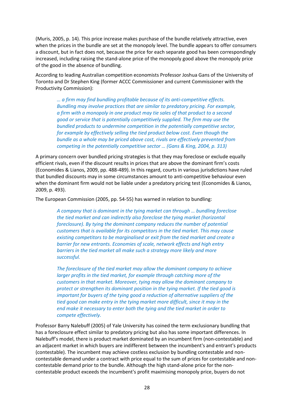(Muris, 2005, p. 14). This price increase makes purchase of the bundle relatively attractive, even when the prices in the bundle are set at the monopoly level. The bundle appears to offer consumers a discount, but in fact does not, because the price for each separate good has been correspondingly increased, including raising the stand-alone price of the monopoly good above the monopoly price of the good in the absence of bundling.

According to leading Australian competition economists Professor Joshua Gans of the University of Toronto and Dr Stephen King (former ACCC Commissioner and current Commissioner with the Productivity Commission):

*… a firm may find bundling profitable because of its anti-competitive effects. Bundling may involve practices that are similar to predatory pricing. For example, a firm with a monopoly in one product may tie sales of that product to a second good or service that is potentially competitively supplied. The firm may use the bundled products to undermine competition in the potentially competitive sector, for example by effectively selling the tied product below cost. Even though the bundle as a whole may be priced above cost, rivals are effectively prevented from competing in the potentially competitive sector … (Gans & King, 2004, p. 313)*

A primary concern over bundled pricing strategies is that they may foreclose or exclude equally efficient rivals, even if the discount results in prices that are above the dominant firm's costs (Economides & Lianos, 2009, pp. 488-489). In this regard, courts in various jurisdictions have ruled that bundled discounts may in some circumstances amount to anti-competitive behaviour even when the dominant firm would not be liable under a predatory pricing test (Economides & Lianos, 2009, p. 493).

The European Commission (2005, pp. 54-55) has warned in relation to bundling:

*A company that is dominant in the tying market can through … bundling foreclose the tied market and can indirectly also foreclose the tying market (horizontal foreclosure). By tying the dominant company reduces the number of potential customers that is available for its competitors in the tied market. This may cause existing competitors to be marginalised or exit from the tied market and create a barrier for new entrants. Economies of scale, network effects and high entry barriers in the tied market all make such a strategy more likely and more successful.*

*The foreclosure of the tied market may allow the dominant company to achieve larger profits in the tied market, for example through catching more of the customers in that market. Moreover, tying may allow the dominant company to protect or strengthen its dominant position in the tying market. If the tied good is important for buyers of the tying good a reduction of alternative suppliers of the tied good can make entry in the tying market more difficult, since it may in the end make it necessary to enter both the tying and the tied market in order to compete effectively.*

Professor Barry Nalebuff (2005) of Yale University has coined the term exclusionary bundling that has a foreclosure effect similar to predatory pricing but also has some important differences. In Nalebuff's model, there is product market dominated by an incumbent firm (non-contestable) and an adjacent market in which buyers are indifferent between the incumbent's and entrant's products (contestable). The incumbent may achieve costless exclusion by bundling contestable and noncontestable demand under a contract with price equal to the sum of prices for contestable and noncontestable demand prior to the bundle. Although the high stand-alone price for the noncontestable product exceeds the incumbent's profit maximising monopoly price, buyers do not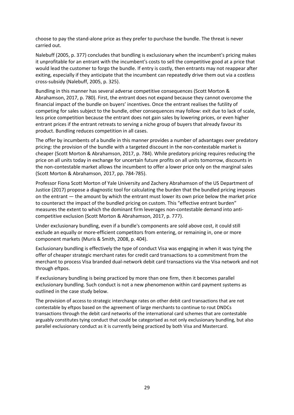choose to pay the stand-alone price as they prefer to purchase the bundle. The threat is never carried out.

Nalebuff (2005, p. 377) concludes that bundling is exclusionary when the incumbent's pricing makes it unprofitable for an entrant with the incumbent's costs to sell the competitive good at a price that would lead the customer to forgo the bundle. If entry is costly, then entrants may not reappear after exiting, especially if they anticipate that the incumbent can repeatedly drive them out via a costless cross-subsidy (Nalebuff, 2005, p. 325).

Bundling in this manner has several adverse competitive consequences (Scott Morton & Abrahamson, 2017, p. 780). First, the entrant does not expand because they cannot overcome the financial impact of the bundle on buyers' incentives. Once the entrant realises the futility of competing for sales subject to the bundle, other consequences may follow: exit due to lack of scale, less price competition because the entrant does not gain sales by lowering prices, or even higher entrant prices if the entrant retreats to serving a niche group of buyers that already favour its product. Bundling reduces competition in all cases.

The offer by incumbents of a bundle in this manner provides a number of advantages over predatory pricing: the provision of the bundle with a targeted discount in the non-contestable market is cheaper (Scott Morton & Abrahamson, 2017, p. 784). While predatory pricing requires reducing the price on all units today in exchange for uncertain future profits on all units tomorrow, discounts in the non-contestable market allows the incumbent to offer a lower price only on the marginal sales (Scott Morton & Abrahamson, 2017, pp. 784-785).

Professor Fiona Scott Morton of Yale University and Zachery Abrahamson of the US Department of Justice (2017) propose a diagnostic tool for calculating the burden that the bundled pricing imposes on the entrant — the amount by which the entrant must lower its own price below the market price to counteract the impact of the bundled pricing on custom. This "effective entrant burden" measures the extent to which the dominant firm leverages non-contestable demand into anticompetitive exclusion (Scott Morton & Abrahamson, 2017, p. 777).

Under exclusionary bundling, even if a bundle's components are sold above cost, it could still exclude an equally or more-efficient competitors from entering, or remaining in, one or more component markets (Muris & Smith, 2008, p. 404).

Exclusionary bundling is effectively the type of conduct Visa was engaging in when it was tying the offer of cheaper strategic merchant rates for credit card transactions to a commitment from the merchant to process Visa branded dual-network debit card transactions via the Visa network and not through eftpos.

If exclusionary bundling is being practiced by more than one firm, then it becomes parallel exclusionary bundling. Such conduct is not a new phenomenon within card payment systems as outlined in the case study below.

The provision of access to strategic interchange rates on other debit card transactions that are not contestable by eftpos based on the agreement of large merchants to continue to rout DNDCs transactions through the debit card networks of the international card schemes that are contestable arguably constitutes tying conduct that could be categorised as not only exclusionary bundling, but also parallel exclusionary conduct as it is currently being practiced by both Visa and Mastercard.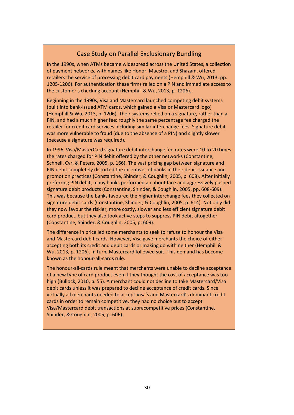## Case Study on Parallel Exclusionary Bundling

In the 1990s, when ATMs became widespread across the United States, a collection of payment networks, with names like Honor, Maestro, and Shazam, offered retailers the service of processing debit card payments (Hemphill & Wu, 2013, pp. 1205-1206). For authentication these firms relied on a PIN and immediate access to the customer's checking account (Hemphill & Wu, 2013, p. 1206).

Beginning in the 1990s, Visa and Mastercard launched competing debit systems (built into bank-issued ATM cards, which gained a Visa or Mastercard logo) (Hemphill & Wu, 2013, p. 1206). Their systems relied on a signature, rather than a PIN, and had a much higher fee: roughly the same percentage fee charged the retailer for credit card services including similar interchange fees. Signature debit was more vulnerable to fraud (due to the absence of a PIN) and slightly slower (because a signature was required).

In 1996, Visa/MasterCard signature debit interchange fee rates were 10 to 20 times the rates charged for PIN debit offered by the other networks (Constantine, Schnell, Cyr, & Peters, 2005, p. 166). The vast pricing gap between signature and PIN debit completely distorted the incentives of banks in their debit issuance and promotion practices (Constantine, Shinder, & Coughlin, 2005, p. 608). After initially preferring PIN debit, many banks performed an about face and aggressively pushed signature debit products (Constantine, Shinder, & Coughlin, 2005, pp. 608-609). This was because the banks favoured the higher interchange fees they collected on signature debit cards (Constantine, Shinder, & Coughlin, 2005, p. 614). Not only did they now favour the riskier, more costly, slower and less efficient signature debit card product, but they also took active steps to suppress PIN debit altogether (Constantine, Shinder, & Coughlin, 2005, p. 609).

The difference in price led some merchants to seek to refuse to honour the Visa and Mastercard debit cards. However, Visa gave merchants the choice of either accepting both its credit and debit cards or making do with neither (Hemphill & Wu, 2013, p. 1206). In turn, Mastercard followed suit. This demand has become known as the honour-all-cards rule.

The honour-all-cards rule meant that merchants were unable to decline acceptance of a new type of card product even if they thought the cost of acceptance was too high (Bullock, 2010, p. 55). A merchant could not decline to take Mastercard/Visa debit cards unless it was prepared to decline acceptance of credit cards. Since virtually all merchants needed to accept Visa's and Mastercard's dominant credit cards in order to remain competitive, they had no choice but to accept Visa/Mastercard debit transactions at supracompetitive prices (Constantine, Shinder, & Coughlin, 2005, p. 606).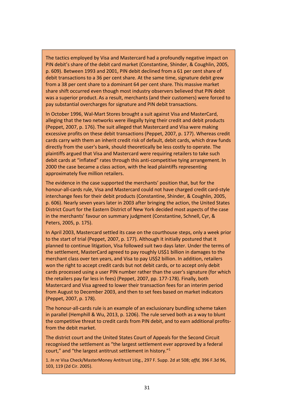The tactics employed by Visa and Mastercard had a profoundly negative impact on PIN debit's share of the debit card market (Constantine, Shinder, & Coughlin, 2005, p. 609). Between 1993 and 2001, PIN debit declined from a 61 per cent share of debit transactions to a 36 per cent share. At the same time, signature debit grew from a 38 per cent share to a dominant 64 per cent share. This massive market share shift occurred even though most industry observers believed that PIN debit was a superior product. As a result, merchants (and their customers) were forced to pay substantial overcharges for signature and PIN debit transactions.

In October 1996, Wal-Mart Stores brought a suit against Visa and MasterCard, alleging that the two networks were illegally tying their credit and debit products (Peppet, 2007, p. 176). The suit alleged that Mastercard and Visa were making excessive profits on these debit transactions (Peppet, 2007, p. 177). Whereas credit cards carry with them an inherit credit risk of default, debit cards, which draw funds directly from the user's bank, should theoretically be less costly to operate. The plaintiffs argued that Visa and Mastercard were requiring retailers to take such debit cards at "inflated" rates through this anti-competitive tying arrangement. In 2000 the case became a class action, with the lead plaintiffs representing approximately five million retailers.

The evidence in the case supported the merchants' position that, but for the honour-all-cards rule, Visa and Mastercard could not have charged credit card-style interchange fees for their debit products (Constantine, Shinder, & Coughlin, 2005, p. 606). Nearly seven years later in 2003 after bringing the action, the United States District Court for the Eastern District of New York decided most aspects of the case in the merchants' favour on summary judgment (Constantine, Schnell, Cyr, & Peters, 2005, p. 175).

In April 2003, Mastercard settled its case on the courthouse steps, only a week prior to the start of trial (Peppet, 2007, p. 177). Although it initially postured that it planned to continue litigation, Visa followed suit two days later. Under the terms of the settlement, MasterCard agreed to pay roughly US\$1 billion in damages to the merchant class over ten years, and Visa to pay US\$2 billion. In addition, retailers won the right to accept credit cards but not debit cards, or to accept only debit cards processed using a user PIN number rather than the user's signature (for which the retailers pay far less in fees) (Peppet, 2007, pp. 177-178). Finally, both Mastercard and Visa agreed to lower their transaction fees for an interim period from August to December 2003, and then to set fees based on market indicators (Peppet, 2007, p. 178).

The honour-all-cards rule is an example of an exclusionary bundling scheme taken in parallel (Hemphill & Wu, 2013, p. 1206). The rule served both as a way to blunt the competitive threat to credit cards from PIN debit, and to earn additional profitsfrom the debit market.

The district court and the United States Court of Appeals for the Second Circuit recognised the settlement as "the largest settlement ever approved by a federal court," and "the largest antitrust settlement in history."<sup>1</sup>

1. *In re* Visa Check/MasterMoney Antitrust Litig., 297 F. Supp. 2d at 508; *affd,* 396 F.3d 96, 103, 119 (2d Cir. 2005).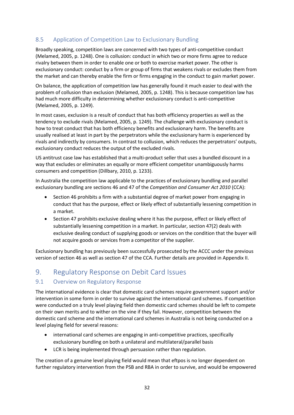#### <span id="page-42-0"></span>8.5 Application of Competition Law to Exclusionary Bundling

Broadly speaking, competition laws are concerned with two types of anti-competitive conduct (Melamed, 2005, p. 1248). One is collusion: conduct in which two or more firms agree to reduce rivalry between them in order to enable one or both to exercise market power. The other is exclusionary conduct: conduct by a firm or group of firms that weakens rivals or excludes them from the market and can thereby enable the firm or firms engaging in the conduct to gain market power.

On balance, the application of competition law has generally found it much easier to deal with the problem of collusion than exclusion (Melamed, 2005, p. 1248). This is because competition law has had much more difficulty in determining whether exclusionary conduct is anti-competitive (Melamed, 2005, p. 1249).

In most cases, exclusion is a result of conduct that has both efficiency properties as well as the tendency to exclude rivals (Melamed, 2005, p. 1249). The challenge with exclusionary conduct is how to treat conduct that has both efficiency benefits and exclusionary harm. The benefits are usually realised at least in part by the perpetrators while the exclusionary harm is experienced by rivals and indirectly by consumers. In contrast to collusion, which reduces the perpetrators' outputs, exclusionary conduct reduces the output of the excluded rivals.

US antitrust case law has established that a multi-product seller that uses a bundled discount in a way that excludes or eliminates an equally or more efficient competitor unambiguously harms consumers and competition (Dillbary, 2010, p. 1233).

In Australia the competition law applicable to the practices of exclusionary bundling and parallel exclusionary bundling are sections 46 and 47 of the *Competition and Consumer Act 2010* (CCA):

- Section 46 prohibits a firm with a substantial degree of market power from engaging in conduct that has the purpose, effect or likely effect of substantially lessening competition in a market.
- Section 47 prohibits exclusive dealing where it has the purpose, effect or likely effect of substantially lessening competition in a market. In particular, section 47(2) deals with exclusive dealing conduct of supplying goods or services on the condition that the buyer will not acquire goods or services from a competitor of the supplier.

Exclusionary bundling has previously been successfully prosecuted by the ACCC under the previous version of section 46 as well as section 47 of the CCA. Further details are provided in Appendix II.

## <span id="page-42-1"></span>9. Regulatory Response on Debit Card Issues

#### <span id="page-42-2"></span>9.1 Overview on Regulatory Response

The international evidence is clear that domestic card schemes require government support and/or intervention in some form in order to survive against the international card schemes. If competition were conducted on a truly level playing field then domestic card schemes should be left to compete on their own merits and to wither on the vine if they fail. However, competition between the domestic card scheme and the international card schemes in Australia is not being conducted on a level playing field for several reasons:

- international card schemes are engaging in anti-competitive practices, specifically exclusionary bundling on both a unilateral and multilateral/parallel basis
- LCR is being implemented through persuasion rather than regulation.

The creation of a genuine level playing field would mean that eftpos is no longer dependent on further regulatory intervention from the PSB and RBA in order to survive, and would be empowered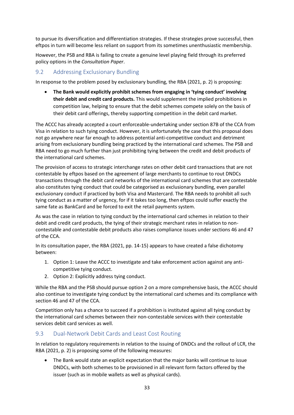to pursue its diversification and differentiation strategies. If these strategies prove successful, then eftpos in turn will become less reliant on support from its sometimes unenthusiastic membership.

However, the PSB and RBA is failing to create a genuine level playing field through its preferred policy options in the *Consultation Paper*.

#### <span id="page-43-0"></span>9.2 Addressing Exclusionary Bundling

In response to the problem posed by exclusionary bundling, the RBA (2021, p. 2) is proposing:

• **The Bank would explicitly prohibit schemes from engaging in 'tying conduct' involving their debit and credit card products.** This would supplement the implied prohibitions in competition law, helping to ensure that the debit schemes compete solely on the basis of their debit card offerings, thereby supporting competition in the debit card market.

The ACCC has already accepted a court enforceable-undertaking under section 87B of the CCA from Visa in relation to such tying conduct. However, it is unfortunately the case that this proposal does not go anywhere near far enough to address potential anti-competitive conduct and detriment arising from exclusionary bundling being practiced by the international card schemes. The PSB and RBA need to go much further than just prohibiting tying between the credit and debit products of the international card schemes.

The provision of access to strategic interchange rates on other debit card transactions that are not contestable by eftpos based on the agreement of large merchants to continue to rout DNDCs transactions through the debit card networks of the international card schemes that are contestable also constitutes tying conduct that could be categorised as exclusionary bundling, even parallel exclusionary conduct if practiced by both Visa and Mastercard. The RBA needs to prohibit all such tying conduct as a matter of urgency, for if it takes too long, then eftpos could suffer exactly the same fate as BankCard and be forced to exit the retail payments system.

As was the case in relation to tying conduct by the international card schemes in relation to their debit and credit card products, the tying of their strategic merchant rates in relation to noncontestable and contestable debit products also raises compliance issues under sections 46 and 47 of the CCA.

In its consultation paper, the RBA (2021, pp. 14-15) appears to have created a false dichotomy between:

- 1. Option 1: Leave the ACCC to investigate and take enforcement action against any anticompetitive tying conduct.
- 2. Option 2: Explicitly address tying conduct.

While the RBA and the PSB should pursue option 2 on a more comprehensive basis, the ACCC should also continue to investigate tying conduct by the international card schemes and its compliance with section 46 and 47 of the CCA.

Competition only has a chance to succeed if a prohibition is instituted against all tying conduct by the international card schemes between their non-contestable services with their contestable services debit card services as well.

#### <span id="page-43-1"></span>9.3 Dual-Network Debit Cards and Least Cost Routing

In relation to regulatory requirements in relation to the issuing of DNDCs and the rollout of LCR, the RBA (2021, p. 2) is proposing some of the following measures:

• The Bank would state an explicit expectation that the major banks will continue to issue DNDCs, with both schemes to be provisioned in all relevant form factors offered by the issuer (such as in mobile wallets as well as physical cards).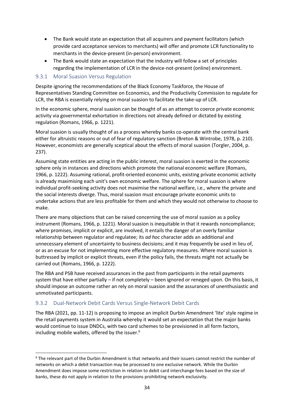- The Bank would state an expectation that all acquirers and payment facilitators (which provide card acceptance services to merchants) will offer and promote LCR functionality to merchants in the device-present (in-person) environment.
- The Bank would state an expectation that the industry will follow a set of principles regarding the implementation of LCR in the device-not-present (online) environment.

#### <span id="page-44-0"></span>9.3.1 Moral Suasion Versus Regulation

Despite ignoring the recommendations of the Black Economy Taskforce, the House of Representatives Standing Committee on Economics, and the Productivity Commission to regulate for LCR, the RBA is essentially relying on moral suasion to facilitate the take-up of LCR.

In the economic sphere, moral suasion can be thought of as an attempt to coerce private economic activity via governmental exhortation in directions not already defined or dictated by existing regulation (Romans, 1966, p. 1221).

Moral suasion is usually thought of as a process whereby banks co-operate with the central bank either for altruistic reasons or out of fear of regulatory sanction (Breton & Wintrobe, 1978, p. 210). However, economists are generally sceptical about the effects of moral suasion (Torgler, 2004, p. 237).

Assuming state entities are acting in the public interest, moral suasion is exerted in the economic sphere only in instances and directions which promote the national economic welfare (Romans, 1966, p. 1222). Assuming rational, profit-oriented economic units, existing private economic activity is already maximising each unit's own economic welfare. The sphere for moral suasion is where individual profit-seeking activity does not maximise the national welfare, i.e., where the private and the social interests diverge. Thus, moral suasion must encourage private economic units to undertake actions that are less profitable for them and which they would not otherwise to choose to make.

There are many objections that can be raised concerning the use of moral suasion as a policy instrument (Romans, 1966, p. 1221). Moral suasion is inequitable in that it rewards noncompliance; where promises, implicit or explicit, are involved, it entails the danger of an overly familiar relationship between regulator and regulatee; its *ad hoc* character adds an additional and unnecessary element of uncertainty to business decisions; and it may frequently be used in lieu of, or as an excuse for not implementing more effective regulatory measures. Where moral suasion is buttressed by implicit or explicit threats, even if the policy fails, the threats might not actually be carried out (Romans, 1966, p. 1222).

The RBA and PSB have received assurances in the past from participants in the retail payments system that have either partially – if not completely – been ignored or reneged upon. On this basis, it should impose an outcome rather an rely on moral suasion and the assurances of unenthusiastic and unmotivated participants.

#### <span id="page-44-1"></span>9.3.2 Dual-Network Debit Cards Versus Single-Network Debit Cards

The RBA (2021, pp. 11-12) is proposing to impose an implicit Durbin Amendment 'lite' style regime in the retail payments system in Australia whereby it would set an expectation that the major banks would continue to issue DNDCs, with two card schemes to be provisioned in all form factors, including mobile wallets, offered by the issuer. 6

<sup>&</sup>lt;sup>6</sup> The relevant part of the Durbin Amendment is that networks and their issuers cannot restrict the number of networks on which a debit transaction may be processed to one exclusive network. While the Durbin Amendment does impose some restriction in relation to debit card interchange fees based on the size of banks, these do not apply in relation to the provisions prohibiting network exclusivity.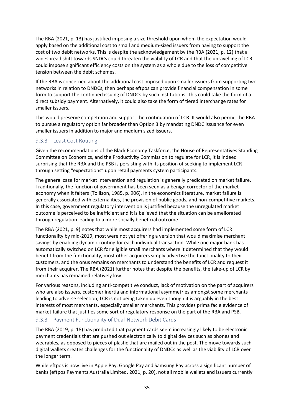The RBA (2021, p. 13) has justified imposing a size threshold upon whom the expectation would apply based on the additional cost to small and medium-sized issuers from having to support the cost of two debit networks. This is despite the acknowledgement by the RBA (2021, p. 12) that a widespread shift towards SNDCs could threaten the viability of LCR and that the unravelling of LCR could impose significant efficiency costs on the system as a whole due to the loss of competitive tension between the debit schemes.

If the RBA is concerned about the additional cost imposed upon smaller issuers from supporting two networks in relation to DNDCs, then perhaps eftpos can provide financial compensation in some form to support the continued issuing of DNDCs by such institutions. This could take the form of a direct subsidy payment. Alternatively, it could also take the form of tiered interchange rates for smaller issuers.

This would preserve competition and support the continuation of LCR. It would also permit the RBA to pursue a regulatory option far broader than Option 3 by mandating DNDC issuance for even smaller issuers in addition to major and medium sized issuers.

#### <span id="page-45-0"></span>9.3.3 Least Cost Routing

Given the recommendations of the Black Economy Taskforce, the House of Representatives Standing Committee on Economics, and the Productivity Commission to regulate for LCR, it is indeed surprising that the RBA and the PSB is persisting with its position of seeking to implement LCR through setting "expectations" upon retail payments system participants.

The general case for market intervention and regulation is generally predicated on market failure. Traditionally, the function of government has been seen as a benign corrector of the market economy when it falters (Tollison, 1985, p. 906). In the economics literature, market failure is generally associated with externalities, the provision of public goods, and non-competitive markets. In this case, government regulatory intervention is justified because the unregulated market outcome is perceived to be inefficient and it is believed that the situation can be ameliorated through regulation leading to a more socially beneficial outcome.

The RBA (2021, p. 9) notes that while most acquirers had implemented some form of LCR functionality by mid-2019, most were not yet offering a version that would maximise merchant savings by enabling dynamic routing for each individual transaction. While one major bank has automatically switched on LCR for eligible small merchants where it determined that they would benefit from the functionality, most other acquirers simply advertise the functionality to their customers, and the onus remains on merchants to understand the benefits of LCR and request it from their acquirer. The RBA (2021) further notes that despite the benefits, the take-up of LCR by merchants has remained relatively low.

For various reasons, including anti-competitive conduct, lack of motivation on the part of acquirers who are also issuers, customer inertia and informational asymmetries amongst some merchants leading to adverse selection, LCR is not being taken up even though it is arguably in the best interests of most merchants, especially smaller merchants. This provides prima facie evidence of market failure that justifies some sort of regulatory response on the part of the RBA and PSB.

#### <span id="page-45-1"></span>9.3.3 Payment Functionality of Dual-Network Debit Cards

The RBA (2019, p. 18) has predicted that payment cards seem increasingly likely to be electronic payment credentials that are pushed out electronically to digital devices such as phones and wearables, as opposed to pieces of plastic that are mailed out in the post. The move towards such digital wallets creates challenges for the functionality of DNDCs as well as the viability of LCR over the longer term.

While eftpos is now live in Apple Pay, Google Pay and Samsung Pay across a significant number of banks (eftpos Payments Australia Limited, 2021, p. 20), not all mobile wallets and issuers currently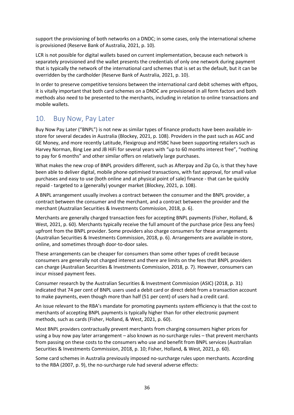support the provisioning of both networks on a DNDC; in some cases, only the international scheme is provisioned (Reserve Bank of Australia, 2021, p. 10).

LCR is not possible for digital wallets based on current implementation, because each network is separately provisioned and the wallet presents the credentials of only one network during payment that is typically the network of the international card schemes that is set as the default, but it can be overridden by the cardholder (Reserve Bank of Australia, 2021, p. 10).

In order to preserve competitive tensions between the international card debit schemes with eftpos, it is vitally important that both card schemes on a DNDC are provisioned in all form factors and both methods also need to be presented to the merchants, including in relation to online transactions and mobile wallets.

## <span id="page-46-0"></span>10. Buy Now, Pay Later

Buy Now Pay Later ("BNPL") is not new as similar types of finance products have been available instore for several decades in Australia (Blockey, 2021, p. 108). Providers in the past such as AGC and GE Money, and more recently Latitude, Flexigroup and HSBC have been supporting retailers such as Harvey Norman, Bing Lee and JB HiFi for several years with "up to 60 months interest free", "nothing to pay for 6 months" and other similar offers on relatively large purchases.

What makes the new crop of BNPL providers different, such as Afterpay and Zip Co, is that they have been able to deliver digital, mobile phone optimised transactions, with fast approval, for small value purchases and easy to use (both online and at physical point of sale) finance - that can be quickly repaid - targeted to a (generally) younger market (Blockey, 2021, p. 108).

A BNPL arrangement usually involves a contract between the consumer and the BNPL provider, a contract between the consumer and the merchant, and a contract between the provider and the merchant (Australian Securities & Investments Commission, 2018, p. 6).

Merchants are generally charged transaction fees for accepting BNPL payments (Fisher, Holland, & West, 2021, p. 60). Merchants typically receive the full amount of the purchase price (less any fees) upfront from the BNPL provider. Some providers also charge consumers for these arrangements (Australian Securities & Investments Commission, 2018, p. 6). Arrangements are available in-store, online, and sometimes through door-to-door sales.

These arrangements can be cheaper for consumers than some other types of credit because consumers are generally not charged interest and there are limits on the fees that BNPL providers can charge (Australian Securities & Investments Commission, 2018, p. 7). However, consumers can incur missed payment fees.

Consumer research by the Australian Securities & Investment Commission (ASIC) (2018, p. 31) indicated that 74 per cent of BNPL users used a debit card or direct debit from a transaction account to make payments, even though more than half (51 per cent) of users had a credit card.

An issue relevant to the RBA's mandate for promoting payments system efficiency is that the cost to merchants of accepting BNPL payments is typically higher than for other electronic payment methods, such as cards (Fisher, Holland, & West, 2021, p. 60).

Most BNPL providers contractually prevent merchants from charging consumers higher prices for using a buy now pay later arrangement – also known as no-surcharge rules – that prevent merchants from passing on these costs to the consumers who use and benefit from BNPL services (Australian Securities & Investments Commission, 2018, p. 10; Fisher, Holland, & West, 2021, p. 60).

Some card schemes in Australia previously imposed no-surcharge rules upon merchants. According to the RBA (2007, p. 9), the no-surcharge rule had several adverse effects: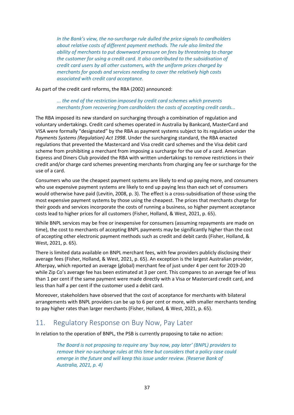*In the Bank's view, the no-surcharge rule dulled the price signals to cardholders about relative costs of different payment methods. The rule also limited the ability of merchants to put downward pressure on fees by threatening to charge the customer for using a credit card. It also contributed to the subsidisation of credit card users by all other customers, with the uniform prices charged by merchants for goods and services needing to cover the relatively high costs associated with credit card acceptance.*

As part of the credit card reforms, the RBA (2002) announced:

#### *... the end of the restriction imposed by credit card schemes which prevents merchants from recovering from cardholders the costs of accepting credit cards...*

The RBA imposed its new standard on surcharging through a combination of regulation and voluntary undertakings. Credit card schemes operated in Australia by Bankcard, MasterCard and VISA were formally "designated" by the RBA as payment systems subject to its regulation under the *Payments Systems (Regulation) Act 1998*. Under the surcharging standard, the RBA enacted regulations that prevented the Mastercard and Visa credit card schemes and the Visa debit card scheme from prohibiting a merchant from imposing a surcharge for the use of a card. American Express and Diners Club provided the RBA with written undertakings to remove restrictions in their credit and/or charge card schemes preventing merchants from charging any fee or surcharge for the use of a card.

Consumers who use the cheapest payment systems are likely to end up paying more, and consumers who use expensive payment systems are likely to end up paying less than each set of consumers would otherwise have paid (Levitin, 2008, p. 3). The effect is a cross-subsidisation of those using the most expensive payment systems by those using the cheapest. The prices that merchants charge for their goods and services incorporate the costs of running a business, so higher payment acceptance costs lead to higher prices for all customers (Fisher, Holland, & West, 2021, p. 65).

While BNPL services may be free or inexpensive for consumers (assuming repayments are made on time), the cost to merchants of accepting BNPL payments may be significantly higher than the cost of accepting other electronic payment methods such as credit and debit cards (Fisher, Holland, & West, 2021, p. 65).

There is limited data available on BNPL merchant fees, with few providers publicly disclosing their average fees (Fisher, Holland, & West, 2021, p. 65). An exception is the largest Australian provider, Afterpay, which reported an average (global) merchant fee of just under 4 per cent for 2019-20 while Zip Co's average fee has been estimated at 3 per cent. This compares to an average fee of less than 1 per cent if the same payment were made directly with a Visa or Mastercard credit card, and less than half a per cent if the customer used a debit card.

Moreover, stakeholders have observed that the cost of acceptance for merchants with bilateral arrangements with BNPL providers can be up to 6 per cent or more, with smaller merchants tending to pay higher rates than larger merchants (Fisher, Holland, & West, 2021, p. 65).

## <span id="page-47-0"></span>11. Regulatory Response on Buy Now, Pay Later

In relation to the operation of BNPL, the PSB is currently proposing to take no action:

*The Board is not proposing to require any 'buy now, pay later' (BNPL) providers to remove their no-surcharge rules at this time but considers that a policy case could emerge in the future and will keep this issue under review. (Reserve Bank of Australia, 2021, p. 4)*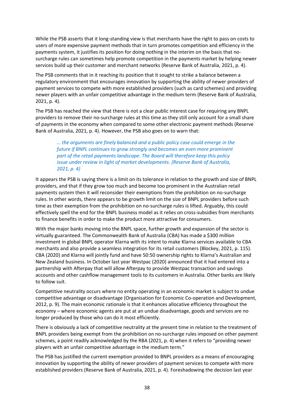While the PSB asserts that it long-standing view is that merchants have the right to pass on costs to users of more expensive payment methods that in turn promotes competition and efficiency in the payments system, it justifies its position for doing nothing in the interim on the basis that nosurcharge rules can sometimes help promote competition in the payments market by helping newer services build up their customer and merchant networks (Reserve Bank of Australia, 2021, p. 4).

The PSB comments that in it reaching its position that it sought to strike a balance between a regulatory environment that encourages innovation by supporting the ability of newer providers of payment services to compete with more established providers (such as card schemes) and providing newer players with an unfair competitive advantage in the medium term (Reserve Bank of Australia, 2021, p. 4).

The PSB has reached the view that there is not a clear public interest case for requiring any BNPL providers to remove their no-surcharge rules at this time as they still only account for a small share of payments in the economy when compared to some other electronic payment methods (Reserve Bank of Australia, 2021, p. 4). However, the PSB also goes on to warn that:

*… the arguments are finely balanced and a public policy case could emerge in the future if BNPL continues to grow strongly and becomes an even more prominent part of the retail payments landscape. The Board will therefore keep this policy issue under review in light of market developments. (Reserve Bank of Australia, 2021, p. 4)*

It appears the PSB is saying there is a limit on its tolerance in relation to the growth and size of BNPL providers, and that if they grow too much and become too prominent in the Australian retail payments system then it will reconsider their exemptions from the prohibition on no-surcharge rules. In other words, there appears to be growth limit on the size of BNPL providers before such time as their exemption from the prohibition on no-surcharge rules is lifted. Arguably, this could effectively spell the end for the BNPL business model as it relies on cross-subsidies from merchants to finance benefits in order to make the product more attractive for consumers.

With the major banks moving into the BNPL space, further growth and expansion of the sector is virtually guaranteed. The Commonwealth Bank of Australia (CBA) has made a \$300 million investment in global BNPL operator Klarna with its intent to make Klarna services available to CBA merchants and also provide a seamless integration for its retail customers (Blockey, 2021, p. 115). CBA (2020) and Klarna will jointly fund and have 50:50 ownership rights to Klarna's Australian and New Zealand business. In October last year Westpac (2020) announced that it had entered into a partnership with Afterpay that will allow Afterpay to provide Westpac transaction and savings accounts and other cashflow management tools to its customers in Australia. Other banks are likely to follow suit.

Competitive neutrality occurs where no entity operating in an economic market is subject to undue competitive advantage or disadvantage (Organisation for Economic Co-operation and Development, 2012, p. 9). The main economic rationale is that it enhances allocative efficiency throughout the economy – where economic agents are put at an undue disadvantage, goods and services are no longer produced by those who can do it most efficiently.

There is obviously a lack of competitive neutrality at the present time in relation to the treatment of BNPL providers being exempt from the prohibition on no-surcharge rules imposed on other payment schemes, a point readily acknowledged by the RBA (2021, p. 4) when it refers to "providing newer players with an unfair competitive advantage in the medium term."

The PSB has justified the current exemption provided to BNPL providers as a means of encouraging innovation by supporting the ability of newer providers of payment services to compete with more established providers (Reserve Bank of Australia, 2021, p. 4). Foreshadowing the decision last year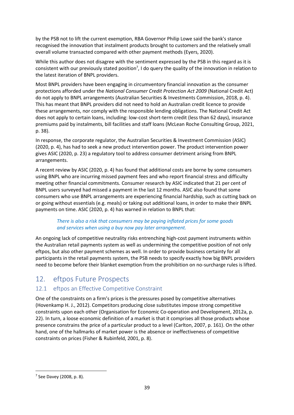by the PSB not to lift the current exemption, RBA Governor Philip Lowe said the bank's stance recognised the innovation that instalment products brought to customers and the relatively small overall volume transacted compared with other payment methods (Eyers, 2020).

While this author does not disagree with the sentiment expressed by the PSB in this regard as it is consistent with our previously stated position<sup>7</sup>, I do query the quality of the innovation in relation to the latest iteration of BNPL providers.

Most BNPL providers have been engaging in circumventory financial innovation as the consumer protections afforded under the *National Consumer Credit Protection Act 2009* (National Credit Act) do not apply to BNPL arrangements (Australian Securities & Investments Commission, 2018, p. 4). This has meant that BNPL providers did not need to hold an Australian credit licence to provide these arrangements, nor comply with the responsible lending obligations. The National Credit Act does not apply to certain loans, including: low-cost short-term credit (less than 62 days), insurance premiums paid by instalments, bill facilities and staff loans (McLean Roche Consulting Group, 2021, p. 38).

In response, the corporate regulator, the Australian Securities & Investment Commission (ASIC) (2020, p. 4), has had to seek a new product intervention power. The product intervention power gives ASIC (2020, p. 23) a regulatory tool to address consumer detriment arising from BNPL arrangements.

A recent review by ASIC (2020, p. 4) has found that additional costs are borne by some consumers using BNPL who are incurring missed payment fees and who report financial stress and difficulty meeting other financial commitments. Consumer research by ASIC indicated that 21 per cent of BNPL users surveyed had missed a payment in the last 12 months. ASIC also found that some consumers who use BNPL arrangements are experiencing financial hardship, such as cutting back on or going without essentials (e.g. meals) or taking out additional loans, in order to make their BNPL payments on time. ASIC (2020, p. 4) has warned in relation to BNPL that:

#### *There is also a risk that consumers may be paying inflated prices for some goods and services when using a buy now pay later arrangement.*

An ongoing lack of competitive neutrality risks entrenching high-cost payment instruments within the Australian retail payments system as well as undermining the competitive position of not only eftpos, but also other payment schemes as well. In order to provide business certainty for all participants in the retail payments system, the PSB needs to specify exactly how big BNPL providers need to become before their blanket exemption from the prohibition on no-surcharge rules is lifted.

## <span id="page-49-0"></span>12. eftpos Future Prospects

#### <span id="page-49-1"></span>12.1 eftpos an Effective Competitive Constraint

One of the constraints on a firm's prices is the pressures posed by competitive alternatives (Hovenkamp H. J., 2012). Competitors producing close substitutes impose strong competitive constraints upon each other (Organisation for Economic Co-operation and Development, 2012a, p. 22). In turn, a loose economic definition of a market is that it comprises all those products whose presence constrains the price of a particular product to a level (Carlton, 2007, p. 161). On the other hand, one of the hallmarks of market power is the absence or ineffectiveness of competitive constraints on prices (Fisher & Rubinfeld, 2001, p. 8).

<sup>7</sup> See Davey (2008, p. 8).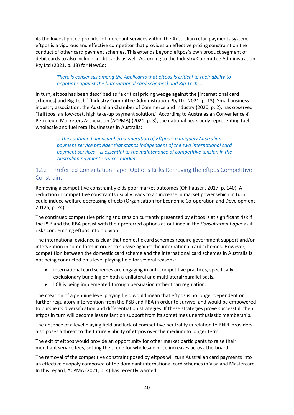As the lowest priced provider of merchant services within the Australian retail payments system, eftpos is a vigorous and effective competitor that provides an effective pricing constraint on the conduct of other card payment schemes. This extends beyond eftpos's own product segment of debit cards to also include credit cards as well. According to the Industry Committee Administration Pty Ltd (2021, p. 13) for NewCo:

#### *There is consensus among the Applicants that eftpos is critical to their ability to negotiate against the [international card schemes] and Big Tech …*

In turn, eftpos has been described as "a critical pricing wedge against the [international card schemes] and Big Tech" (Industry Committee Administration Pty Ltd, 2021, p. 13). Small business industry association, the Australian Chamber of Commerce and Industry (2020, p. 2), has observed "[e]ftpos is a low-cost, high take-up payment solution." According to Australasian Convenience & Petroleum Marketers Association (ACPMA) (2021, p. 3), the national peak body representing fuel wholesale and fuel retail businesses in Australia:

*… the continued unencumbered operation of Eftpos – a uniquely Australian payment service provider that stands independent of the two international card payment services – is essential to the maintenance of competitive tension in the Australian payment services market.*

#### <span id="page-50-0"></span>12.2 Preferred Consultation Paper Options Risks Removing the eftpos Competitive **Constraint**

Removing a competitive constraint yields poor market outcomes (Ohlhausen, 2017, p. 140). A reduction in competitive constraints usually leads to an increase in market power which in turn could induce welfare decreasing effects (Organisation for Economic Co-operation and Development, 2012a, p. 24).

The continued competitive pricing and tension currently presented by eftpos is at significant risk if the PSB and the RBA persist with their preferred options as outlined in the *Consultation Paper* as it risks condemning eftpos into oblivion.

The international evidence is clear that domestic card schemes require government support and/or intervention in some form in order to survive against the international card schemes. However, competition between the domestic card scheme and the international card schemes in Australia is not being conducted on a level playing field for several reasons:

- international card schemes are engaging in anti-competitive practices, specifically exclusionary bundling on both a unilateral and multilateral/parallel basis.
- LCR is being implemented through persuasion rather than regulation.

The creation of a genuine level playing field would mean that eftpos is no longer dependent on further regulatory intervention from the PSB and RBA in order to survive, and would be empowered to pursue its diversification and differentiation strategies. If these strategies prove successful, then eftpos in turn will become less reliant on support from its sometimes unenthusiastic membership.

The absence of a level playing field and lack of competitive neutrality in relation to BNPL providers also poses a threat to the future viability of eftpos over the medium to longer term.

The exit of eftpos would provide an opportunity for other market participants to raise their merchant service fees, setting the scene for wholesale price increases across-the-board.

The removal of the competitive constraint posed by eftpos will turn Australian card payments into an effective duopoly composed of the dominant international card schemes in Visa and Mastercard. In this regard, ACPMA (2021, p. 4) has recently warned: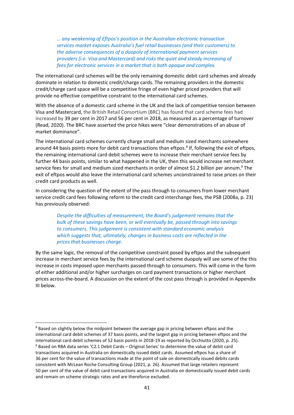*… any weakening of Eftpos's position in the Australian electronic transaction services market exposes Australia's fuel retail businesses (and their customers) to the adverse consequences of a duopoly of international payment services providers (i.e. Visa and Mastercard) and risks the quiet and steady increasing of fees for electronic services in a market that is both opaque and complex.*

The international card schemes will be the only remaining domestic debit card schemes and already dominate in relation to domestic credit/charge cards. The remaining providers in the domestic credit/charge card space will be a competitive fringe of even higher priced providers that will provide no effective competitive constraint to the international card schemes.

With the absence of a domestic card scheme in the UK and the lack of competitive tension between Visa and Mastercard, the British Retail Consortium (BRC) has found that card scheme fees had increased by 39 per cent in 2017 and 56 per cent in 2018, as measured as a percentage of turnover (Read, 2020). The BRC have asserted the price hikes were "clear demonstrations of an abuse of market dominance".

The international card schemes currently charge small and medium sized merchants somewhere around 44 basis points more for debit card transactions than eftpos.<sup>8</sup> If, following the exit of eftpos, the remaining international card debit schemes were to increase their merchant service fees by further 44 basis points, similar to what happened in the UK, then this would increase net merchant service fees for small and medium sized merchants in order of almost \$1.2 billion per annum.<sup>9</sup> The exit of eftpos would also leave the international card schemes unconstrained to raise prices on their credit card products as well.

In considering the question of the extent of the pass through to consumers from lower merchant service credit card fees following reform to the credit card interchange fees, the PSB (2008a, p. 23) has previously observed:

*Despite the difficulties of measurement, the Board's judgement remains that the bulk of these savings have been, or will eventually be, passed through into savings to consumers. This judgement is consistent with standard economic analysis which suggests that, ultimately, changes in business costs are reflected in the prices that businesses charge.*

By the same logic, the removal of the competitive constraint posed by eftpos and the subsequent increase in merchant service fees by the international card scheme duopoly will see some of the this increase in costs imposed upon merchants passed through to consumers. This will come in the form of either additional and/or higher surcharges on card payment transactions or higher merchant prices across-the-board. A discussion on the extent of the cost pass through is provided in Appendix III below.

<sup>&</sup>lt;sup>8</sup> Based on slightly below the midpoint between the average gap in pricing between eftpos and the international card debit schemes of 37 basis points, and the largest gap in pricing between eftpos and the international card debit schemes of 52 basis points in 2018-19 as reported by Occhiutto (2020, p. 25). <sup>9</sup> Based on RBA data series 'C2.1 Debit Cards – Original Series' to determine the value of debit card transactions acquired in Australia on domestically issued debit cards. Assumed eftpos has a share of 36 per cent for the value of transactions made at the point of sale on domestically issued debits cards consistent with McLean Roche Consulting Group (2021, p. 26). Assumed that large retailers represent 50 per cent of the value of debit card transactions acquired in Australia on domesticaally issued debit cards and remain on scheme strategic rates and are thereforce excluded.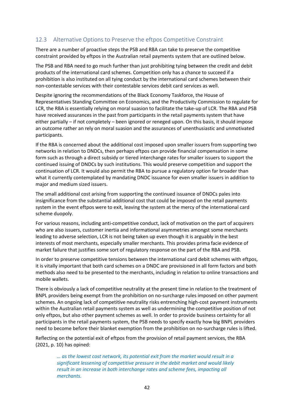#### <span id="page-52-0"></span>12.3 Alternative Options to Preserve the eftpos Competitive Constraint

There are a number of proactive steps the PSB and RBA can take to preserve the competitive constraint provided by eftpos in the Australian retail payments system that are outlined below.

The PSB and RBA need to go much further than just prohibiting tying between the credit and debit products of the international card schemes. Competition only has a chance to succeed if a prohibition is also instituted on all tying conduct by the international card schemes between their non-contestable services with their contestable services debit card services as well.

Despite ignoring the recommendations of the Black Economy Taskforce, the House of Representatives Standing Committee on Economics, and the Productivity Commission to regulate for LCR, the RBA is essentially relying on moral suasion to facilitate the take-up of LCR. The RBA and PSB have received assurances in the past from participants in the retail payments system that have either partially – if not completely – been ignored or reneged upon. On this basis, it should impose an outcome rather an rely on moral suasion and the assurances of unenthusiastic and unmotivated participants.

If the RBA is concerned about the additional cost imposed upon smaller issuers from supporting two networks in relation to DNDCs, then perhaps eftpos can provide financial compensation in some form such as through a direct subsidy or tiered interchange rates for smaller issuers to support the continued issuing of DNDCs by such institutions. This would preserve competition and support the continuation of LCR. It would also permit the RBA to pursue a regulatory option far broader than what it currently contemplated by mandating DNDC issuance for even smaller issuers in addition to major and medium sized issuers.

The small additional cost arising from supporting the continued issuance of DNDCs pales into insignificance from the substantial additional cost that could be imposed on the retail payments system in the event eftpos were to exit, leaving the system at the mercy of the international card scheme duopoly.

For various reasons, including anti-competitive conduct, lack of motivation on the part of acquirers who are also issuers, customer inertia and informational asymmetries amongst some merchants leading to adverse selection, LCR is not being taken up even though it is arguably in the best interests of most merchants, especially smaller merchants. This provides prima facie evidence of market failure that justifies some sort of regulatory response on the part of the RBA and PSB.

In order to preserve competitive tensions between the international card debit schemes with eftpos, it is vitally important that both card schemes on a DNDC are provisioned in all form factors and both methods also need to be presented to the merchants, including in relation to online transactions and mobile wallets.

There is obviously a lack of competitive neutrality at the present time in relation to the treatment of BNPL providers being exempt from the prohibition on no-surcharge rules imposed on other payment schemes. An ongoing lack of competitive neutrality risks entrenching high-cost payment instruments within the Australian retail payments system as well as undermining the competitive position of not only eftpos, but also other payment schemes as well. In order to provide business certainty for all participants in the retail payments system, the PSB needs to specify exactly how big BNPL providers need to become before their blanket exemption from the prohibition on no-surcharge rules is lifted.

Reflecting on the potential exit of eftpos from the provision of retail payment services, the RBA (2021, p. 10) has opined:

> *… as the lowest cost network, its potential exit from the market would result in a significant lessening of competitive pressure in the debit market and would likely result in an increase in both interchange rates and scheme fees, impacting all merchants.*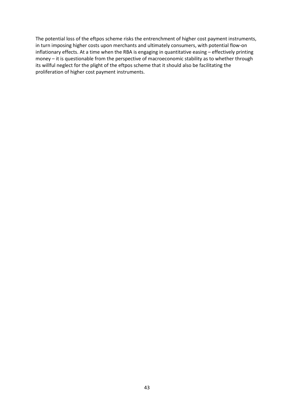The potential loss of the eftpos scheme risks the entrenchment of higher cost payment instruments, in turn imposing higher costs upon merchants and ultimately consumers, with potential flow-on inflationary effects. At a time when the RBA is engaging in quantitative easing – effectively printing money – it is questionable from the perspective of macroeconomic stability as to whether through its willful neglect for the plight of the eftpos scheme that it should also be facilitating the proliferation of higher cost payment instruments.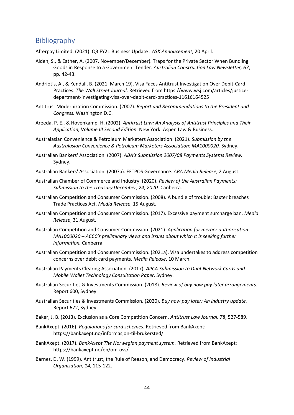## <span id="page-54-0"></span>Bibliography

Afterpay Limited. (2021). Q3 FY21 Business Update . *ASX Annoucement*, 20 April.

- Alden, S., & Eather, A. (2007, November/December). Traps for the Private Sector When Bundling Goods in Response to a Government Tender. *Australian Construction Law Newsletter, 67*, pp. 42-43.
- Andriotis, A., & Kendall, B. (2021, March 19). Visa Faces Antitrust Investigation Over Debit-Card Practices. *The Wall Street Journal*. Retrieved from https://www.wsj.com/articles/justicedepartment-investigating-visa-over-debit-card-practices-11616164525
- Antitrust Modernization Commission. (2007). *Report and Recommendations to the President and Congress.* Washington D.C.
- Areeda, P. E., & Hovenkamp, H. (2002). *Antitrust Law: An Analysis of Antitrust Principles and Their Application, Volume III Second Edition.* New York: Aspen Law & Business.
- Australasian Convenience & Petroleum Marketers Association. (2021). *Submission by the Australasian Convenience & Petroleum Marketers Association: MA1000020.* Sydney.
- Australian Bankers' Association. (2007). *ABA's Submission 2007/08 Payments Systems Review.* Sydney.
- Australian Bankers' Association. (2007a). EFTPOS Governance. *ABA Media Release*, 2 August.
- Australian Chamber of Commerce and Industry. (2020). *Review of the Australian Payments: Submission to the Treasury December, 24, 2020.* Canberra.
- Australian Competition and Consumer Commission. (2008). A bundle of trouble: Baxter breaches Trade Practices Act. *Media Release*, 15 August.
- Australian Competition and Consumer Commission. (2017). Excessive payment surcharge ban. *Media Release*, 31 August.
- Australian Competition and Consumer Commission. (2021). *Application for merger authorisation MA1000020 – ACCC's preliminary views and issues about which it is seeking further information.* Canberra.
- Australian Competition and Consumer Commission. (2021a). Visa undertakes to address competition concerns over debit card payments. *Media Release*, 10 March.
- Australian Payments Clearing Association. (2017). *APCA Submission to Dual-Network Cards and Mobile Wallet Technology Consultation Paper.* Sydney.
- Australian Securities & Investments Commission. (2018). *Review of buy now pay later arrangements.* Report 600, Sydney.
- Australian Securities & Investments Commission. (2020). *Buy now pay later: An industry update.* Report 672, Sydney.
- Baker, J. B. (2013). Exclusion as a Core Competition Concern. *Antitrust Law Journal, 78*, 527-589.
- BankAxept. (2016). *Regulations for card schemes.* Retrieved from BankAxept: https://bankaxept.no/informasjon-til-brukersted/
- BankAxept. (2017). *BankAxept The Norwegian payment system.* Retrieved from BankAxept: https://bankaxept.no/en/om-oss/
- Barnes, D. W. (1999). Antitrust, the Rule of Reason, and Democracy. *Review of Industrial Organization, 14*, 115-122.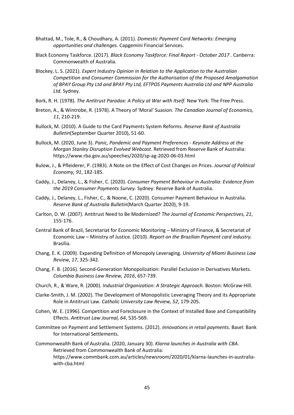- Bhattad, M., Tole, R., & Choudhary, A. (2011). *Domestic Payment Card Networks: Emerging opportunities and challenges.* Capgemini Financial Services.
- Black Economy Taskforce. (2017). *Black Economy Taskforce: Final Report - October 2017 .* Canberra: Commonwealth of Australia.
- Blockey, L. S. (2021). *Expert Industry Opinion in Relation to the Application to the Australian Competition and Consumer Commission for the Authorisation of the Proposed Amalgamation of BPAY Group Pty Ltd and BPAY Pty Ltd, EFTPOS Payments Australia Ltd and NPP Australia Ltd.* Sydney.
- Bork, R. H. (1978). *The Antitrust Paradox: A Policy at War with Itself.* New York: The Free Press.
- Breton, A., & Wintrobe, R. (1978). A Theory of 'Moral' Suasion. *The Canadian Journal of Economics, 11*, 210-219.
- Bullock, M. (2010). A Guide to the Card Payments System Reforms. *Reserve Bank of Australia Bulletin*(September Quarter 2010), 51-60.
- Bullock, M. (2020, June 3). *Panic, Pandemic and Payment Preferences - Keynote Address at the Morgan Stanley Disruption Evolved Webcast.* Retrieved from Reserve Bank of Australia: https://www.rba.gov.au/speeches/2020/sp-ag-2020-06-03.html
- Bulow, J., & Pfleiderer, P. (1983). A Note on the Effect of Cost Changes on Prices. *Journal of Political Economy, 91*, 182-185.
- Caddy, J., Delaney, L., & Fisher, C. (2020). *Consumer Payment Behaviour in Australia: Evidence from the 2019 Consumer Payments Survey.* Sydney: Reserve Bank of Australia.
- Caddy, J., Delaney, L., Fisher, C., & Noone, C. (2020). Consumer Payment Behaviour in Australia. *Reserve Bank of Australia Bulletin*(March Quarter 2020), 9-19.
- Carlton, D. W. (2007). Antitrust Need to Be Modernized? *The Journal of Economic Perspectives, 21*, 155-176.
- Central Bank of Brazil, Secretariat for Economic Monitoring Ministry of Finance, & Secretariat of Economic Law – Ministry of Justice. (2010). *Report on the Brazilian Payment card industry.* Brasília.
- Chang, E. K. (2009). Expanding Definition of Monopoly Leveraging. *University of Miami Business Law Review, 17*, 325-342.
- Chang, F. B. (2016). Second-Generation Monopolization: Parallel Exclusion in Derivatives Markets. *Columbia Business Law Review, 2016*, 657-739.
- Church, R., & Ware, R. (2000). *Industrial Organization: A Strategic Approach.* Boston: McGraw-Hill.
- Clarke-Smith, J. M. (2002). The Development of Monopolistic Leveraging Theory and its Appropriate Role in Antitrust Law. *Catholic University Law Review, 52*, 179-205.
- Cohen, W. E. (1996). Competition and Foreclosure in the Context of Installed Base and Compatibility Effects. *Antitrust Law Journal, 64*, 535-569.
- Committee on Payment and Settlement Systems. (2012). *Innovations in retail payments.* Basel: Bank for International Settlements.

Commonwealth Bank of Australia. (2020, January 30). *Klarna launches in Australia with CBA.* Retrieved from Commonwealth Bank of Australia: https://www.commbank.com.au/articles/newsroom/2020/01/klarna-launches-in-australiawith-cba.html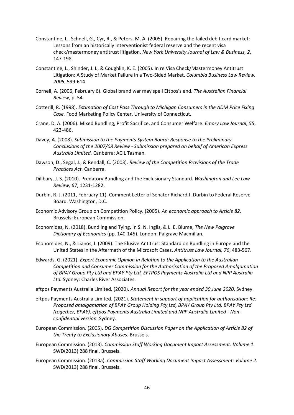- Constantine, L., Schnell, G., Cyr, R., & Peters, M. A. (2005). Repairing the failed debit card market: Lessons from an historically interventionist federal reserve and the recent visa check/mastermoney antitrust litigation. *New York University Journal of Law & Business, 2*, 147-198.
- Constantine, L., Shinder, J. I., & Coughlin, K. E. (2005). In re Visa Check/Mastermoney Antitrust Litigation: A Study of Market Failure in a Two-Sided Market. *Columbia Business Law Review, 2005*, 599-614.
- Cornell, A. (2006, February 6). Global brand war may spell Eftpos's end. *The Australian Financial Review*, p. 54.
- Cotterill, R. (1998). *Estimation of Cost Pass Through to Michigan Consumers in the ADM Price Fixing Case.* Food Marketing Policy Center, University of Connecticut.
- Crane, D. A. (2006). Mixed Bundling, Profit Sacrifice, and Consumer Welfare. *Emory Law Journal, 55*, 423-486.
- Davey, A. (2008). *Submission to the Payments System Board: Response to the Preliminary Conclusions of the 2007/08 Review - Submission prepared on behalf of American Express Australia Limited.* Canberra: ACIL Tasman.
- Dawson, D., Segal, J., & Rendall, C. (2003). *Review of the Competition Provisions of the Trade Practices Act.* Canberra.
- Dillbary, J. S. (2010). Predatory Bundling and the Exclusionary Standard. *Washington and Lee Law Review, 67*, 1231-1282.
- Durbin, R. J. (2011, February 11). Comment Letter of Senator Richard J. Durbin to Federal Reserve Board. Washington, D.C.
- Economic Advisory Group on Competition Policy. (2005). *An economic approach to Article 82.* Brussels: European Commission.
- Economides, N. (2018). Bundling and Tying. In S. N. Inglis, & L. E. Blume, *The New Palgrave Dictionary of Economics* (pp. 140-145). London: Palgrave Macmillan.
- Economides, N., & Lianos, I. (2009). The Elusive Antitrust Standard on Bundling in Europe and the United States in the Aftermath of the Microsoft Cases. *Antitrust Law Journal, 76*, 483-567.
- Edwards, G. (2021). *Expert Economic Opinion in Relation to the Application to the Australian Competition and Consumer Commission for the Authorisation of the Proposed Amalgamation of BPAY Group Pty Ltd and BPAY Pty Ltd, EFTPOS Payments Australia Ltd and NPP Australia Ltd.* Sydney: Charles River Associates.

eftpos Payments Australia Limited. (2020). *Annual Report for the year ended 30 June 2020.* Sydney.

- eftpos Payments Australia Limited. (2021). *Statement in support of application for authorisation: Re: Proposed amalgamation of BPAY Group Holding Pty Ltd, BPAY Group Pty Ltd, BPAY Pty Ltd (together, BPAY), eftpos Payments Australia Limited and NPP Australia Limited - Nonconfidential version.* Sydney.
- European Commission. (2005). *DG Competition Discussion Paper on the Application of Article 82 of the Treaty to Exclusionary Abuses.* Brussels.
- European Commission. (2013). *Commission Staff Working Document Impact Assessment: Volume 1.* SWD(2013) 288 final, Brussels.
- European Commission. (2013a). *Commission Staff Working Document Impact Assessment: Volume 2.* SWD(2013) 288 final, Brussels.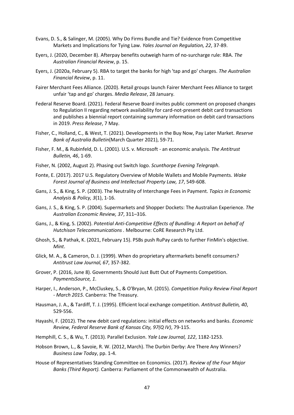- Evans, D. S., & Salinger, M. (2005). Why Do Firms Bundle and Tie? Evidence from Competitive Markets and Implications for Tying Law. *Yales Journal on Regulation, 22*, 37-89.
- Eyers, J. (2020, December 8). Afterpay benefits outweigh harm of no-surcharge rule: RBA. *The Australian Financial Review*, p. 15.
- Eyers, J. (2020a, February 5). RBA to target the banks for high 'tap and go' charges. *The Australian Financial Review*, p. 11.
- Fairer Merchant Fees Alliance. (2020). Retail groups launch Fairer Merchant Fees Alliance to target unfair 'tap and go' charges. *Media Release*, 28 January.
- Federal Reserve Board. (2021). Federal Reserve Board invites public comment on proposed changes to Regulation II regarding network availability for card-not-present debit card transactions and publishes a biennial report containing summary information on debit card transactions in 2019. *Press Release*, 7 May.
- Fisher, C., Holland, C., & West, T. (2021). Developments in the Buy Now, Pay Later Market. *Reserve Bank of Australia Bulletin*(March Quarter 2021), 59-71.
- Fisher, F. M., & Rubinfeld, D. L. (2001). U.S. v. Microsoft an economic analysis. *The Antitrust Bulletin, 46*, 1-69.
- Fisher, N. (2002, August 2). Phasing out Switch logo. *Scunthorpe Evening Telegraph*.
- Fonte, E. (2017). 2017 U.S. Regulatory Overview of Mobile Wallets and Mobile Payments. *Wake Forest Journal of Business and Intellectual Property Law, 17*, 549-608.
- Gans, J. S., & King, S. P. (2003). The Neutrality of Interchange Fees in Payment. *Topics in Economic Analysis & Policy, 3*(1), 1-16.
- Gans, J. S., & King, S. P. (2004). Supermarkets and Shopper Dockets: The Australian Experience. *The Australian Economic Review, 37*, 311–316.
- Gans, J., & King, S. (2002). *Potential Anti-Competitive Effects of Bundling: A Report on behalf of Hutchison Telecommunications .* Melbourne: CoRE Research Pty Ltd.
- Ghosh, S., & Pathak, K. (2021, February 15). PSBs push RuPay cards to further FinMin's objective. *Mint*.
- Glick, M. A., & Cameron, D. J. (1999). When do proprietary aftermarkets benefit consumers? *Antitrust Law Journal, 67*, 357-382.
- Grover, P. (2016, June 8). Governments Should Just Butt Out of Payments Competition. *PaymentsSource, 1*.
- Harper, I., Anderson, P., McCluskey, S., & O'Bryan, M. (2015). *Competition Policy Review Final Report - March 2015.* Canberra: The Treasury.
- Hausman, J. A., & Tardiff, T. J. (1995). Efficient local exchange competition. *Antitrust Bulletin, 40*, 529-556.
- Hayashi, F. (2012). The new debit card regulations: initial effects on networks and banks. *Economic Review, Federal Reserve Bank of Kansas City, 97(Q IV)*, 79-115.
- Hemphill, C. S., & Wu, T. (2013). Parallel Exclusion. *Yale Law Journal, 122*, 1182-1253.
- Hobson Brown, L., & Savoie, R. W. (2012, March). The Durbin Derby: Are There Any Winners? *Business Law Today*, pp. 1-4.
- House of Representatives Standing Committee on Economics. (2017). *Review of the Four Major Banks (Third Report).* Canberra: Parliament of the Commonwealth of Australia.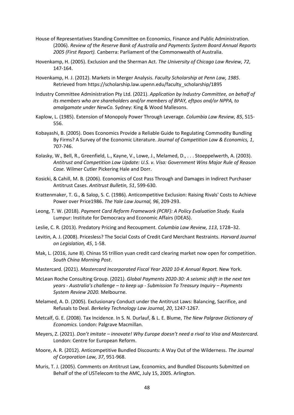- House of Representatives Standing Committee on Economics, Finance and Public Administration. (2006). *Review of the Reserve Bank of Australia and Payments System Board Annual Reports 2005 (First Report).* Canberra: Parliament of the Commonwealth of Australia.
- Hovenkamp, H. (2005). Exclusion and the Sherman Act. *The University of Chicago Law Review, 72*, 147-164.
- Hovenkamp, H. J. (2012). Markets in Merger Analysis. *Faculty Scholarship at Penn Law, 1985*. Retrieved from https://scholarship.law.upenn.edu/faculty\_scholarship/1895
- Industry Committee Administration Pty Ltd. (2021). *Application by Industry Committee, on behalf of its members who are shareholders and/or members of BPAY, eftpos and/or NPPA, to amalgamate under NewCo.* Sydney: King & Wood Mallesons.
- Kaplow, L. (1985). Extension of Monopoly Power Through Leverage. *Columbia Law Review, 85*, 515- 556.
- Kobayashi, B. (2005). Does Economics Provide a Reliable Guide to Regulating Commodity Bundling By Firms? A Survey of the Economic Literature. *Journal of Competition Law & Economics, 1*, 707-746.
- Kolasky, W., Bell, R., Greenfield, L., Kayne, V., Lowe, J., Melamed, D., . . . Stoeppelwerth, A. (2003). *Antitrust and Competition Law Update: U.S. v. Visa: Government Wins Major Rule of Reason Case.* Wilmer Cutler Pickering Hale and Dorr.
- Kosicki, & Cahill, M. B. (2006). Economics of Cost Pass Through and Damages in Indirect Purchaser Antitrust Cases. *Antitrust Bulletin, 51*, 599-630.
- Krattenmaker, T. G., & Salop, S. C. (1986). Anticompetitive Exclusion: Raising Rivals' Costs to Achieve Power over Price1986. *The Yale Law Journal, 96*, 209-293.
- Leong, T. W. (2018). *Payment Card Reform Framework (PCRF): A Policy Evaluation Study.* Kuala Lumpur: Institute for Democracy and Economic Affairs (IDEAS).
- Leslie, C. R. (2013). Predatory Pricing and Recoupment. *Columbia Law Review, 113*, 1728–32.
- Levitin, A. J. (2008). Pricesless? The Social Costs of Credit Card Merchant Restraints. *Harvard Journal on Legislation, 45*, 1-58.
- Mak, L. (2016, June 8). Chinas 55 trillion yuan credit card clearing market now open for competition. *South China Morning Post*.
- Mastercard. (2021). *Mastercard Incorporated Fiscal Year 2020 10-K Annual Report.* New York.
- McLean Roche Consulting Group. (2021). *Global Payments 2020-30: A seismic shift in the next ten years - Australia's challenge – to keep up - Submission To Treasury Inquiry – Payments System Review 2020.* Melbourne.
- Melamed, A. D. (2005). Exclusionary Conduct under the Antitrust Laws: Balancing, Sacrifice, and Refusals to Deal. *Berkeley Technology Law Journal, 20*, 1247-1267.
- Metcalf, G. E. (2008). Tax Incidence. In S. N. Durlauf, & L. E. Blume, *The New Palgrave Dictionary of Economics.* London: Palgrave Macmillan.
- Meyers, Z. (2021). *Don't imitate – innovate! Why Europe doesn't need a rival to Visa and Mastercard.* London: Centre for European Reform.
- Moore, A. R. (2012). Anticompetitive Bundled Discounts: A Way Out of the Wilderness. *The Journal of Corporation Law, 37*, 951-968.
- Muris, T. J. (2005). Comments on Antitrust Law, Economics, and Bundled Discounts Submitted on Behalf of the of USTelecom to the AMC, July 15, 2005. Arlington.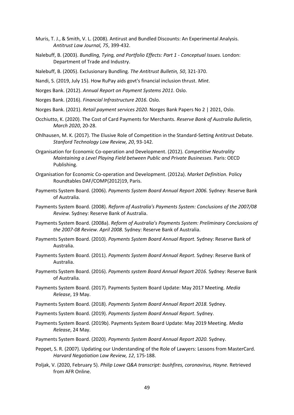- Muris, T. J., & Smith, V. L. (2008). Antirust and Bundled Discounts: An Experimental Analysis. *Antitrust Law Journal, 75*, 399-432.
- Nalebuff, B. (2003). *Bundling, Tying, and Portfolio Effects: Part 1 - Conceptual Issues.* London: Department of Trade and Industry.
- Nalebuff, B. (2005). Exclusionary Bundling. *The Antitrust Bulletin, 50*, 321-370.
- Nandi, S. (2019, July 15). How RuPay aids govt's financial inclusion thrust. *Mint*.
- Norges Bank. (2012). *Annual Report on Payment Systems 2011.* Oslo.
- Norges Bank. (2016). *Financial Infrastructure 2016.* Oslo.
- Norges Bank. (2021). *Retail payment services 2020.* Norges Bank Papers No 2 | 2021, Oslo.
- Occhiutto, K. (2020). The Cost of Card Payments for Merchants. *Reserve Bank of Australia Bulletin, March 2020*, 20-28.
- Ohlhausen, M. K. (2017). The Elusive Role of Competition in the Standard-Setting Antitrust Debate. *Stanford Technology Law Review, 20*, 93-142.
- Organisation for Economic Co-operation and Development. (2012). *Competitive Neutrality Maintaining a Level Playing Field between Public and Private Businesses.* Paris: OECD Publishing.
- Organisation for Economic Co-operation and Development. (2012a). *Market Definition.* Policy Roundtables DAF/COMP(2012)19, Paris.
- Payments System Board. (2006). *Payments System Board Annual Report 2006.* Sydney: Reserve Bank of Australia.
- Payments System Board. (2008). *Reform of Australia's Payments System: Conclusions of the 2007/08 Review.* Sydney: Reserve Bank of Australia.
- Payments System Board. (2008a). *Reform of Australia's Payments System: Preliminary Conclusions of the 2007-08 Review. April 2008.* Sydney: Reserve Bank of Australia.
- Payments System Board. (2010). *Payments System Board Annual Report.* Sydney: Reserve Bank of Australia.
- Payments System Board. (2011). *Payments System Board Annual Report.* Sydney: Reserve Bank of Australia.
- Payments System Board. (2016). *Payments system Board Annual Report 2016.* Sydney: Reserve Bank of Australia.
- Payments System Board. (2017). Payments System Board Update: May 2017 Meeting. *Media Release*, 19 May.
- Payments System Board. (2018). *Payments System Board Annual Report 2018.* Sydney.
- Payments System Board. (2019). *Payments System Board Annual Report.* Sydney.
- Payments System Board. (2019b). Payments System Board Update: May 2019 Meeting. *Media Release*, 24 May.
- Payments System Board. (2020). *Payments System Board Annual Report 2020.* Sydney.
- Peppet, S. R. (2007). Updating our Understanding of the Role of Lawyers: Lessons from MasterCard. *Harvard Negotiation Law Review, 12*, 175-188.
- Poljak, V. (2020, February 5). *Philip Lowe Q&A transcript: bushfires, coronavirus, Hayne.* Retrieved from AFR Online.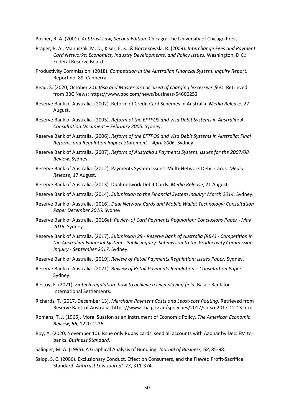Posner, R. A. (2001). *Antitrust Law, Second Edition.* Chicago: The University of Chicago Press.

- Prager, R. A., Manuszak, M. D., Kiser, E. K., & Borzekowski, R. (2009). *Interchange Fees and Payment Card Networks: Economics, Industry Developments, and Policy Issues.* Washington, D.C.: Federal Reserve Board.
- Productivity Commission. (2018). *Competition in the Australian Financial System, Inquiry Report.* Report no. 89, Canberra.
- Read, S. (2020, October 20). *Visa and Mastercard accused of charging 'excessive' fees.* Retrieved from BBC News: https://www.bbc.com/news/business-54606252
- Reserve Bank of Australia. (2002). Reform of Credit Card Schemes in Australia. *Media Release*, 27 August.
- Reserve Bank of Australia. (2005). *Reform of the EFTPOS and Visa Debit Systems in Australia: A Consultation Document – February 2005.* Sydney.
- Reserve Bank of Australia. (2006). *Reform of the EFTPOS and Visa Debit Systems in Australia: Final Reforms and Regulation Impact Statement – April 2006.* Sydney.
- Reserve Bank of Australia. (2007). *Reform of Australia's Payments System: Issues for the 2007/08 Review.* Sydney.
- Reserve Bank of Australia. (2012). Payments System Issues: Multi-Network Debit Cards. *Media Release*, 17 August.
- Reserve Bank of Australia. (2013). Dual-network Debit Cards. *Media Release*, 21 August.
- Reserve Bank of Australia. (2014). *Submission to the Financial System Inquiry: March 2014.* Sydney.
- Reserve Bank of Australia. (2016). *Dual Network Cards and Mobile Wallet Technology: Consultation Paper December 2016.* Sydney.
- Reserve Bank of Australia. (2016a). *Review of Card Payments Regulation: Conclusions Paper - May 2016.* Sydney.
- Reserve Bank of Australia. (2017). *Submission 29 - Reserve Bank of Australia (RBA) - Competition in the Australian Financial System - Public inquiry: Submission to the Productivity Commission Inquiry - September 2017.* Sydney.
- Reserve Bank of Australia. (2019). *Review of Retail Payments Regulation: Issues Paper.* Sydney.
- Reserve Bank of Australia. (2021). *Review of Retail Payments Regulation – Consultation Paper.* Sydney.
- Restoy, F. (2021). *Fintech regulation: how to achieve a level playing field.* Basel: Bank for International Settlements.
- Richards, T. (2017, December 13). *Merchant Payment Costs and Least-cost Routing.* Retrieved from Reserve Bank of Australia: https://www.rba.gov.au/speeches/2017/sp-so-2017-12-13.html
- Romans, T. J. (1966). Moral Suasion as an Instrument of Economic Policy. *The American Economic Review, 56*, 1220-1226.
- Roy, A. (2020, November 10). Issue only Rupay cards, seed all accounts with Aadhar by Dec: FM to banks. *Business Standard*.
- Salinger, M. A. (1995). A Graphical Analysis of Bundling. *Journal of Business, 68*, 85-98.
- Salop, S. C. (2006). Exclusionary Conduct, Effect on Consumers, and the Flawed Profit-Sacrifice Standard. *Antitrust Law Journal, 73*, 311-374.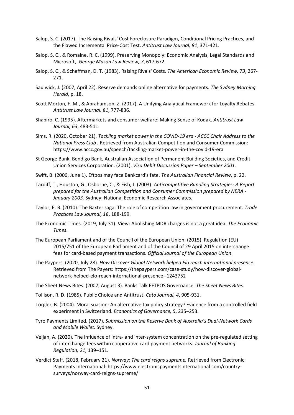- Salop, S. C. (2017). The Raising Rivals' Cost Foreclosure Paradigm, Conditional Pricing Practices, and the Flawed Incremental Price-Cost Test. *Antitrust Law Journal, 81*, 371-421.
- Salop, S. C., & Romaine, R. C. (1999). Preserving Monopoly: Economic Analysis, Legal Standards and Microsoft,. *George Mason Law Review, 7*, 617-672.
- Salop, S. C., & Scheffman, D. T. (1983). Raising Rivals' Costs. *The American Economic Review, 73*, 267- 271.
- Saulwick, J. (2007, April 22). Reserve demands online alternative for payments. *The Sydney Morning Herald*, p. 18.
- Scott Morton, F. M., & Abrahamson, Z. (2017). A Unifying Analytical Framework for Loyalty Rebates. *Antitrust Law Journal, 81*, 777-836.
- Shapiro, C. (1995). Aftermarkets and consumer welfare: Making Sense of Kodak. *Antitrust Law Journal, 63*, 483-511.
- Sims, R. (2020, October 21). *Tackling market power in the COVID-19 era - ACCC Chair Address to the National Press Club .* Retrieved from Australian Competition and Consumer Commission: https://www.accc.gov.au/speech/tackling-market-power-in-the-covid-19-era
- St George Bank, Bendigo Bank, Australian Association of Permanent Building Societies, and Credit Union Services Corporation. (2001). *Visa Debit Discussion Paper – September 2001.*
- Swift, B. (2006, June 1). Eftpos may face Bankcard's fate. *The Australian Financial Review*, p. 22.
- Tardiff, T., Houston, G., Osborne, C., & Fish, J. (2003). *Anticompetitive Bundling Strategies: A Report prepared for the Australian Competition and Consumer Commission prepared by NERA - January 2003.* Sydney: National Economic Research Associates.
- Taylor, E. B. (2010). The Baxter saga: The role of competition law in government procurement. *Trade Practices Law Journal, 18*, 188-199.
- The Economic Times. (2019, July 31). View: Abolishing MDR charges is not a great idea. *The Economic Times*.
- The European Parliament and of the Council of the European Union. (2015). Regulation (EU) 2015/751 of the European Parliament and of the Council of 29 April 2015 on interchange fees for card-based payment transactions. *Official Journal of the European Union*.
- The Paypers. (2020, July 28). *How Discover Global Network helped Elo reach international presence.* Retrieved from The Payers: https://thepaypers.com/case-study/how-discover-globalnetwork-helped-elo-reach-international-presence--1243752
- The Sheet News Bites. (2007, August 3). Banks Talk EFTPOS Governance. *The Sheet News Bites*.
- Tollison, R. D. (1985). Public Choice and Antitrust. *Cato Journal, 4*, 905-931.
- Torgler, B. (2004). Moral suasion: An alternative tax policy strategy? Evidence from a controlled field experiment in Switzerland. *Economics of Governance, 5*, 235–253.
- Tyro Payments Limited. (2017). *Submission on the Reserve Bank of Australia's Dual-Network Cards and Mobile Wallet.* Sydney.
- Veljan, A. (2020). The influence of intra- and inter-system concentration on the pre-regulated setting of interchange fees within cooperative card payment networks. *Journal of Banking Regulation, 21*, 139–151.
- Verdict Staff. (2018, February 21). *Norway: The card reigns supreme.* Retrieved from Electronic Payments International: https://www.electronicpaymentsinternational.com/countrysurveys/norway-card-reigns-supreme/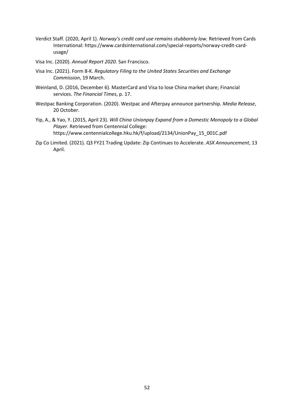- Verdict Staff. (2020, April 1). *Norway's credit card use remains stubbornly low.* Retrieved from Cards International: https://www.cardsinternational.com/special-reports/norway-credit-cardusage/
- Visa Inc. (2020). *Annual Report 2020.* San Francisco.
- Visa Inc. (2021). Form 8-K. *Regulatory Filing to the United States Securities and Exchange Commission*, 19 March.
- Weinland, D. (2016, December 6). MasterCard and Visa to lose China market share; Financial services. *The Financial Times*, p. 17.
- Westpac Banking Corporation. (2020). Westpac and Afterpay announce partnership. *Media Release*, 20 October.
- Yip, A., & Yao, Y. (2015, April 23). *Will China Unionpay Expand from a Domestic Monopoly to a Global Player.* Retrieved from Centennial College: https://www.centennialcollege.hku.hk/f/upload/2134/UnionPay\_15\_001C.pdf
- Zip Co Limited. (2021). Q3 FY21 Trading Update: Zip Continues to Accelerate. *ASX Announcement*, 13 April.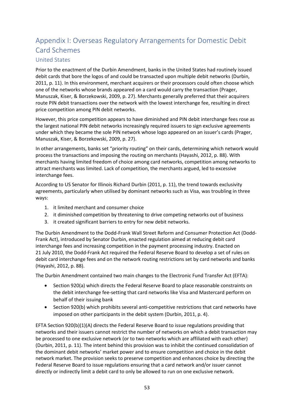# <span id="page-63-0"></span>Appendix I: Overseas Regulatory Arrangements for Domestic Debit Card Schemes

#### <span id="page-63-1"></span>United States

Prior to the enactment of the Durbin Amendment, banks in the United States had routinely issued debit cards that bore the logos of and could be transacted upon multiple debit networks (Durbin, 2011, p. 11). In this environment, merchant acquirers or their processors could often choose which one of the networks whose brands appeared on a card would carry the transaction (Prager, Manuszak, Kiser, & Borzekowski, 2009, p. 27). Merchants generally preferred that their acquirers route PIN debit transactions over the network with the lowest interchange fee, resulting in direct price competition among PIN debit networks.

However, this price competition appears to have diminished and PIN debit interchange fees rose as the largest national PIN debit networks increasingly required issuers to sign exclusive agreements under which they became the sole PIN network whose logo appeared on an issuer's cards (Prager, Manuszak, Kiser, & Borzekowski, 2009, p. 27).

In other arrangements, banks set "priority routing" on their cards, determining which network would process the transactions and imposing the routing on merchants (Hayashi, 2012, p. 88). With merchants having limited freedom of choice among card networks, competition among networks to attract merchants was limited. Lack of competition, the merchants argued, led to excessive interchange fees.

According to US Senator for Illinois Richard Durbin (2011, p. 11), the trend towards exclusivity agreements, particularly when utilised by dominant networks such as Visa, was troubling in three ways:

- 1. it limited merchant and consumer choice
- 2. it diminished competition by threatening to drive competing networks out of business
- 3. it created significant barriers to entry for new debit networks.

The Durbin Amendment to the Dodd-Frank Wall Street Reform and Consumer Protection Act (Dodd-Frank Act), introduced by Senator Durbin, enacted regulation aimed at reducing debit card interchange fees and increasing competition in the payment processing industry. Enacted on 21 July 2010, the Dodd-Frank Act required the Federal Reserve Board to develop a set of rules on debit card interchange fees and on the network routing restrictions set by card networks and banks (Hayashi, 2012, p. 88).

The Durbin Amendment contained two main changes to the Electronic Fund Transfer Act (EFTA):

- Section 920(a) which directs the Federal Reserve Board to place reasonable constraints on the debit interchange fee-setting that card networks like Visa and Mastercard perform on behalf of their issuing bank
- Section 920(b) which prohibits several anti-competitive restrictions that card networks have imposed on other participants in the debit system (Durbin, 2011, p. 4).

EFTA Section 920(b)(1)(A) directs the Federal Reserve Board to issue regulations providing that networks and their issuers cannot restrict the number of networks on which a debit transaction may be processed to one exclusive network (or to two networks which are affiliated with each other) (Durbin, 2011, p. 11). The intent behind this provision was to inhibit the continued consolidation of the dominant debit networks' market power and to ensure competition and choice in the debit network market. The provision seeks to preserve competition and enhances choice by directing the Federal Reserve Board to issue regulations ensuring that a card network and/or issuer cannot directly or indirectly limit a debit card to only be allowed to run on one exclusive network.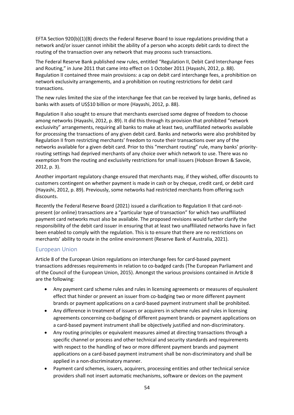EFTA Section 920(b)(1)(B) directs the Federal Reserve Board to issue regulations providing that a network and/or issuer cannot inhibit the ability of a person who accepts debit cards to direct the routing of the transaction over any network that may process such transactions.

The Federal Reserve Bank published new rules, entitled "Regulation II, Debit Card Interchange Fees and Routing," in June 2011 that came into effect on 1 October 2011 (Hayashi, 2012, p. 88). Regulation II contained three main provisions: a cap on debit card interchange fees, a prohibition on network exclusivity arrangements, and a prohibition on routing restrictions for debit card transactions.

The new rules limited the size of the interchange fee that can be received by large banks, defined as banks with assets of US\$10 billion or more (Hayashi, 2012, p. 88).

Regulation II also sought to ensure that merchants exercised some degree of freedom to choose among networks (Hayashi, 2012, p. 89). It did this through its provision that prohibited "network exclusivity" arrangements, requiring all banks to make at least two, unaffiliated networks available for processing the transactions of any given debit card. Banks and networks were also prohibited by Regulation II from restricting merchants' freedom to route their transactions over any of the networks available for a given debit card. Prior to this "merchant routing" rule, many banks' priorityrouting settings had deprived merchants of any choice over which network to use. There was no exemption from the routing and exclusivity restrictions for small issuers (Hobson Brown & Savoie, 2012, p. 3).

Another important regulatory change ensured that merchants may, if they wished, offer discounts to customers contingent on whether payment is made in cash or by cheque, credit card, or debit card (Hayashi, 2012, p. 89). Previously, some networks had restricted merchants from offering such discounts.

Recently the Federal Reserve Board (2021) issued a clarification to Regulation II that card-notpresent (or online) transactions are a "particular type of transaction" for which two unaffiliated payment card networks must also be available. The proposed revisions would further clarify the responsibility of the debit card issuer in ensuring that at least two unaffiliated networks have in fact been enabled to comply with the regulation. This is to ensure that there are no restrictions on merchants' ability to route in the online environment (Reserve Bank of Australia, 2021).

#### <span id="page-64-0"></span>European Union

Article 8 of the European Union regulations on interchange fees for card-based payment transactions addresses requirements in relation to co-badged cards (The European Parliament and of the Council of the European Union, 2015). Amongst the various provisions contained in Article 8 are the following:

- Any payment card scheme rules and rules in licensing agreements or measures of equivalent effect that hinder or prevent an issuer from co-badging two or more different payment brands or payment applications on a card-based payment instrument shall be prohibited.
- Any difference in treatment of issuers or acquirers in scheme rules and rules in licensing agreements concerning co-badging of different payment brands or payment applications on a card-based payment instrument shall be objectively justified and non-discriminatory.
- Any routing principles or equivalent measures aimed at directing transactions through a specific channel or process and other technical and security standards and requirements with respect to the handling of two or more different payment brands and payment applications on a card-based payment instrument shall be non-discriminatory and shall be applied in a non-discriminatory manner.
- Payment card schemes, issuers, acquirers, processing entities and other technical service providers shall not insert automatic mechanisms, software or devices on the payment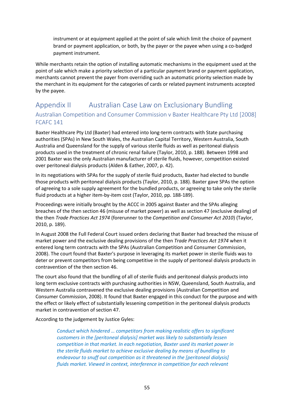instrument or at equipment applied at the point of sale which limit the choice of payment brand or payment application, or both, by the payer or the payee when using a co-badged payment instrument.

While merchants retain the option of installing automatic mechanisms in the equipment used at the point of sale which make a priority selection of a particular payment brand or payment application, merchants cannot prevent the payer from overriding such an automatic priority selection made by the merchant in its equipment for the categories of cards or related payment instruments accepted by the payee.

## <span id="page-65-1"></span><span id="page-65-0"></span>Appendix II Australian Case Law on Exclusionary Bundling Australian Competition and Consumer Commission v Baxter Healthcare Pty Ltd [\[2008\]](http://www.austlii.edu.au/cgi-bin/viewdoc/au/cases/cth/FCAFC/2008/141.html)  [FCAFC 141](http://www.austlii.edu.au/cgi-bin/viewdoc/au/cases/cth/FCAFC/2008/141.html)

Baxter Healthcare Pty Ltd (Baxter) had entered into long-term contracts with State purchasing authorities (SPAs) in New South Wales, the Australian Capital Territory, Western Australia, South Australia and Queensland for the supply of various sterile fluids as well as peritoneal dialysis products used in the treatment of chronic renal failure (Taylor, 2010, p. 188). Between 1998 and 2001 Baxter was the only Australian manufacturer of sterile fluids, however, competition existed over peritoneal dialysis products (Alden & Eather, 2007, p. 42).

In its negotiations with SPAs for the supply of sterile fluid products, Baxter had elected to bundle those products with peritoneal dialysis products (Taylor, 2010, p. 188). Baxter gave SPAs the option of agreeing to a sole supply agreement for the bundled products, or agreeing to take only the sterile fluid products at a higher item-by-item cost (Taylor, 2010, pp. 188-189).

Proceedings were initially brought by the ACCC in 2005 against Baxter and the SPAs alleging breaches of the then section 46 (misuse of market power) as well as section 47 (exclusive dealing) of the then *Trade Practices Act 1974* (forerunner to the *Competition and Consumer Act 2010*) (Taylor, 2010, p. 189).

In August 2008 the Full Federal Court issued orders declaring that Baxter had breached the misuse of market power and the exclusive dealing provisions of the then *Trade Practices Act 1974* when it entered long term contracts with the SPAs (Australian Competition and Consumer Commission, 2008). The court found that Baxter's purpose in leveraging its market power in sterile fluids was to deter or prevent competitors from being competitive in the supply of peritoneal dialysis products in contravention of the then section 46.

The court also found that the bundling of all of sterile fluids and peritoneal dialysis products into long term exclusive contracts with purchasing authorities in NSW, Queensland, South Australia, and Western Australia contravened the exclusive dealing provisions (Australian Competition and Consumer Commission, 2008). It found that Baxter engaged in this conduct for the purpose and with the effect or likely effect of substantially lessening competition in the peritoneal dialysis products market in contravention of section 47.

According to the judgement by Justice Gyles:

*Conduct which hindered … competitors from making realistic offers to significant customers in the [peritoneal dialysis] market was likely to substantially lessen competition in that market. In each negotiation, Baxter used its market power in the sterile fluids market to achieve exclusive dealing by means of bundling to endeavour to snuff out competition as it threatened in the [peritoneal dialysis] fluids market. Viewed in context, interference in competition for each relevant*